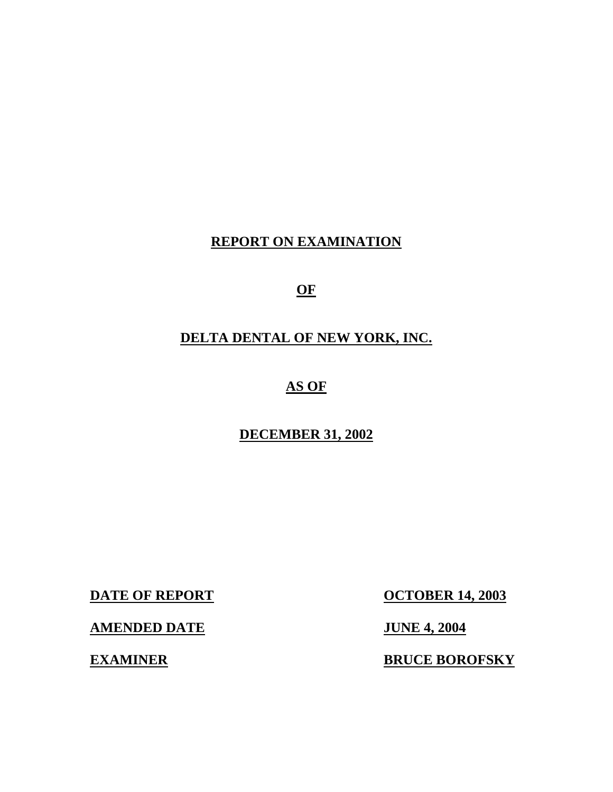# **REPORT ON EXAMINATION**

**OF** 

# **DELTA DENTAL OF NEW YORK, INC.**

# **AS OF**

# **DECEMBER 31, 2002**

**AMENDED DATE** JUNE 4, 2004

**DATE OF REPORT CONTRACT OCTOBER 14, 2003** 

**EXAMINER BRUCE BOROFSKY**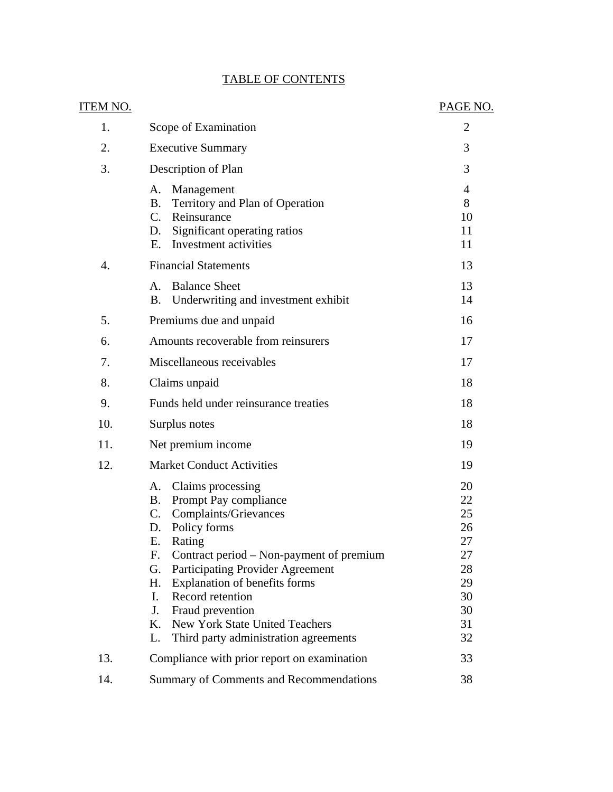| <u>ITEM NO.</u>  |                                                                                                                                                                                                                                                                                                                                                                                                                  | PAGE NO.                                                             |
|------------------|------------------------------------------------------------------------------------------------------------------------------------------------------------------------------------------------------------------------------------------------------------------------------------------------------------------------------------------------------------------------------------------------------------------|----------------------------------------------------------------------|
| 1.               | Scope of Examination                                                                                                                                                                                                                                                                                                                                                                                             | 2                                                                    |
| 2.               | <b>Executive Summary</b>                                                                                                                                                                                                                                                                                                                                                                                         | 3                                                                    |
| 3.               | Description of Plan                                                                                                                                                                                                                                                                                                                                                                                              | 3                                                                    |
|                  | А.<br>Management<br>Territory and Plan of Operation<br>Β.<br>$C_{\cdot}$<br>Reinsurance<br>Significant operating ratios<br>D.<br>Investment activities<br>Е.                                                                                                                                                                                                                                                     | 4<br>8<br>10<br>11<br>11                                             |
| $\overline{4}$ . | <b>Financial Statements</b>                                                                                                                                                                                                                                                                                                                                                                                      | 13                                                                   |
|                  | <b>Balance Sheet</b><br>A.<br>Underwriting and investment exhibit<br>Β.                                                                                                                                                                                                                                                                                                                                          | 13<br>14                                                             |
| 5.               | Premiums due and unpaid                                                                                                                                                                                                                                                                                                                                                                                          | 16                                                                   |
| 6.               | Amounts recoverable from reinsurers                                                                                                                                                                                                                                                                                                                                                                              | 17                                                                   |
| 7.               | Miscellaneous receivables                                                                                                                                                                                                                                                                                                                                                                                        | 17                                                                   |
| 8.               | Claims unpaid                                                                                                                                                                                                                                                                                                                                                                                                    | 18                                                                   |
| 9.               | Funds held under reinsurance treaties                                                                                                                                                                                                                                                                                                                                                                            | 18                                                                   |
| 10.              | Surplus notes                                                                                                                                                                                                                                                                                                                                                                                                    | 18                                                                   |
| 11.              | Net premium income                                                                                                                                                                                                                                                                                                                                                                                               | 19                                                                   |
| 12.              | <b>Market Conduct Activities</b>                                                                                                                                                                                                                                                                                                                                                                                 | 19                                                                   |
|                  | Claims processing<br>A.<br>Prompt Pay compliance<br><b>B.</b><br>C.<br>Complaints/Grievances<br>Policy forms<br>D.<br>Ε.<br>Rating<br>Contract period – Non-payment of premium<br>F.<br>Participating Provider Agreement<br>G.<br>Explanation of benefits forms<br>H.<br>Record retention<br>L.<br>Fraud prevention<br>J.<br>New York State United Teachers<br>K.<br>Third party administration agreements<br>L. | 20<br>22<br>25<br>26<br>27<br>27<br>28<br>29<br>30<br>30<br>31<br>32 |
| 13.              | Compliance with prior report on examination                                                                                                                                                                                                                                                                                                                                                                      | 33                                                                   |
| 14.              | Summary of Comments and Recommendations                                                                                                                                                                                                                                                                                                                                                                          | 38                                                                   |

# **TABLE OF CONTENTS**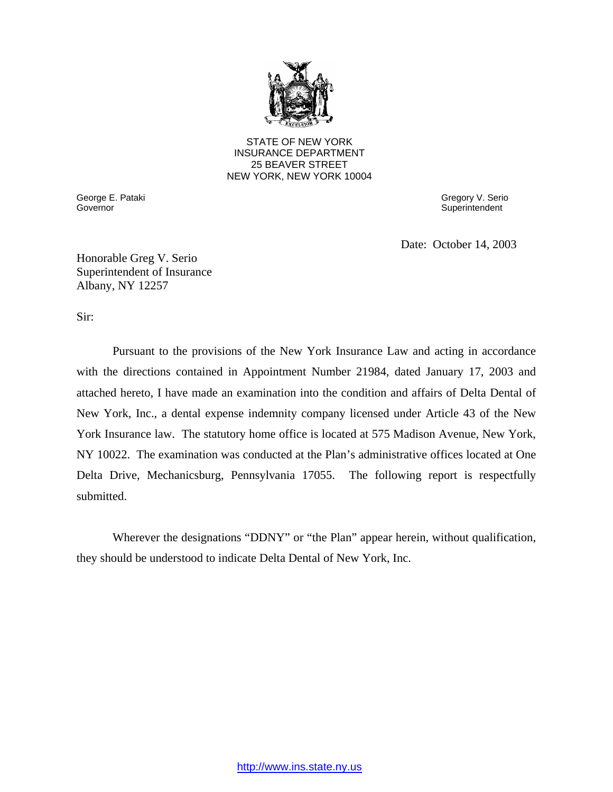

STATE OF NEW YORK INSURANCE DEPARTMENT 25 BEAVER STREET NEW YORK, NEW YORK 10004

Governor George E. Pataki Governor Gregory V. Serio

**Superintendent** 

Date: October 14, 2003

Honorable Greg V. Serio Superintendent of Insurance Albany, NY 12257

Sir:

Pursuant to the provisions of the New York Insurance Law and acting in accordance with the directions contained in Appointment Number 21984, dated January 17, 2003 and attached hereto, I have made an examination into the condition and affairs of Delta Dental of New York, Inc., a dental expense indemnity company licensed under Article 43 of the New York Insurance law. The statutory home office is located at 575 Madison Avenue, New York, NY 10022. The examination was conducted at the Plan's administrative offices located at One Delta Drive, Mechanicsburg, Pennsylvania 17055. The following report is respectfully submitted.

Wherever the designations "DDNY" or "the Plan" appear herein, without qualification, they should be understood to indicate Delta Dental of New York, Inc.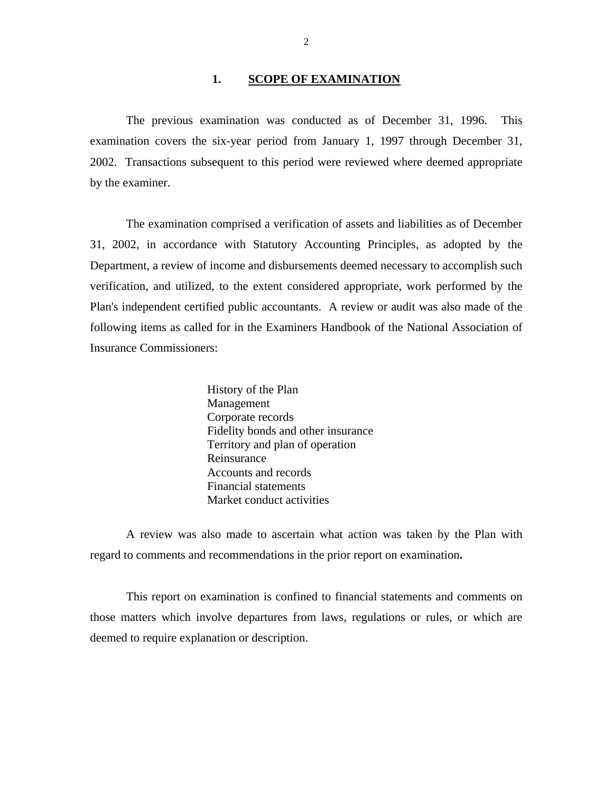#### 1. **SCOPE OF EXAMINATION**

The previous examination was conducted as of December 31, 1996. This examination covers the six-year period from January 1, 1997 through December 31, 2002. Transactions subsequent to this period were reviewed where deemed appropriate by the examiner.

The examination comprised a verification of assets and liabilities as of December 31, 2002, in accordance with Statutory Accounting Principles, as adopted by the Department, a review of income and disbursements deemed necessary to accomplish such verification, and utilized, to the extent considered appropriate, work performed by the Plan's independent certified public accountants. A review or audit was also made of the following items as called for in the Examiners Handbook of the National Association of Insurance Commissioners:

> History of the Plan Management Corporate records Fidelity bonds and other insurance Territory and plan of operation Reinsurance Accounts and records Financial statements Market conduct activities

A review was also made to ascertain what action was taken by the Plan with regard to comments and recommendations in the prior report on examination**.** 

This report on examination is confined to financial statements and comments on those matters which involve departures from laws, regulations or rules, or which are deemed to require explanation or description.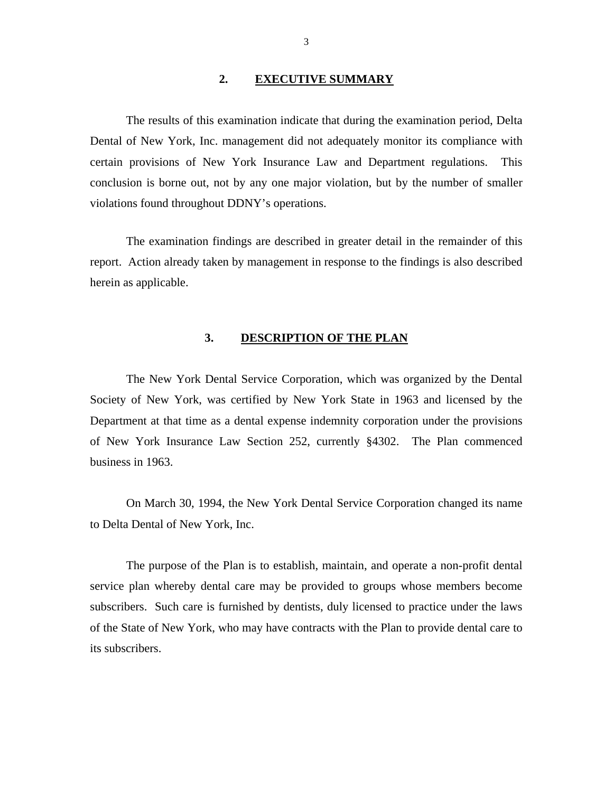#### **2. EXECUTIVE SUMMARY**

The results of this examination indicate that during the examination period, Delta Dental of New York, Inc. management did not adequately monitor its compliance with certain provisions of New York Insurance Law and Department regulations. This conclusion is borne out, not by any one major violation, but by the number of smaller violations found throughout DDNY's operations.

The examination findings are described in greater detail in the remainder of this report. Action already taken by management in response to the findings is also described herein as applicable.

# **3. DESCRIPTION OF THE PLAN**

The New York Dental Service Corporation, which was organized by the Dental Society of New York, was certified by New York State in 1963 and licensed by the Department at that time as a dental expense indemnity corporation under the provisions of New York Insurance Law Section 252, currently §4302. The Plan commenced business in 1963.

On March 30, 1994, the New York Dental Service Corporation changed its name to Delta Dental of New York, Inc.

The purpose of the Plan is to establish, maintain, and operate a non-profit dental service plan whereby dental care may be provided to groups whose members become subscribers. Such care is furnished by dentists, duly licensed to practice under the laws of the State of New York, who may have contracts with the Plan to provide dental care to its subscribers.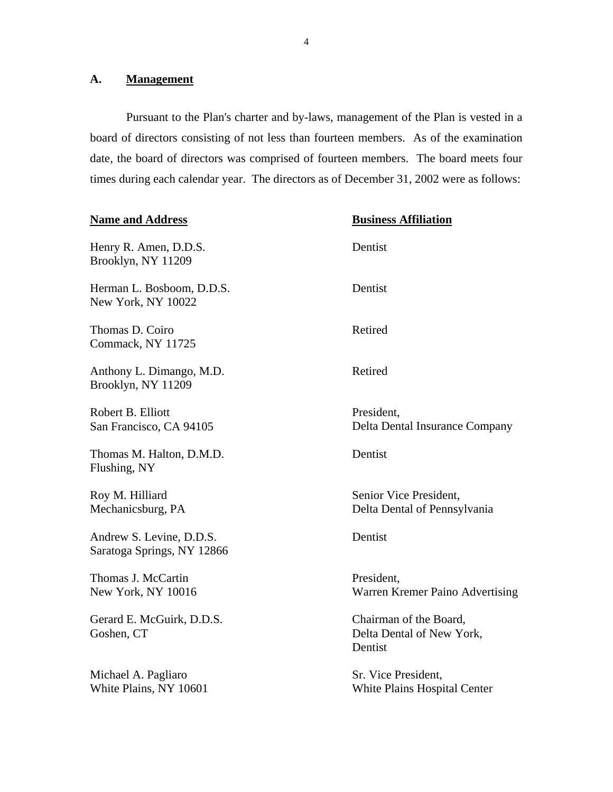# <span id="page-5-0"></span>A. **Management**

Pursuant to the Plan's charter and by-laws, management of the Plan is vested in a board of directors consisting of not less than fourteen members. As of the examination date, the board of directors was comprised of fourteen members. The board meets four times during each calendar year. The directors as of December 31, 2002 were as follows:

| <b>Name and Address</b>                                | <b>Business Affiliation</b>                                    |
|--------------------------------------------------------|----------------------------------------------------------------|
| Henry R. Amen, D.D.S.<br>Brooklyn, NY 11209            | Dentist                                                        |
| Herman L. Bosboom, D.D.S.<br>New York, NY 10022        | Dentist                                                        |
| Thomas D. Coiro<br>Commack, NY 11725                   | Retired                                                        |
| Anthony L. Dimango, M.D.<br>Brooklyn, NY 11209         | Retired                                                        |
| Robert B. Elliott<br>San Francisco, CA 94105           | President,<br>Delta Dental Insurance Company                   |
| Thomas M. Halton, D.M.D.<br>Flushing, NY               | Dentist                                                        |
| Roy M. Hilliard<br>Mechanicsburg, PA                   | Senior Vice President,<br>Delta Dental of Pennsylvania         |
| Andrew S. Levine, D.D.S.<br>Saratoga Springs, NY 12866 | Dentist                                                        |
| Thomas J. McCartin<br>New York, NY 10016               | President,<br>Warren Kremer Paino Advertising                  |
| Gerard E. McGuirk, D.D.S.<br>Goshen, CT                | Chairman of the Board,<br>Delta Dental of New York,<br>Dentist |
| Michael A. Pagliaro<br>White Plains, NY 10601          | Sr. Vice President,<br><b>White Plains Hospital Center</b>     |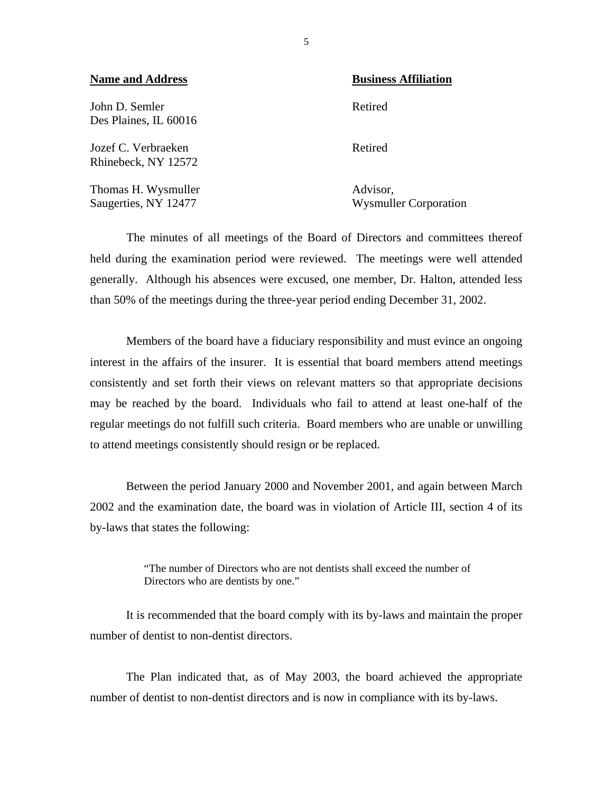| <b>Name and Address</b>                     | <b>Business Affiliation</b>              |  |  |
|---------------------------------------------|------------------------------------------|--|--|
| John D. Semler<br>Des Plaines, IL 60016     | Retired                                  |  |  |
| Jozef C. Verbraeken<br>Rhinebeck, NY 12572  | Retired                                  |  |  |
| Thomas H. Wysmuller<br>Saugerties, NY 12477 | Advisor,<br><b>Wysmuller Corporation</b> |  |  |

The minutes of all meetings of the Board of Directors and committees thereof held during the examination period were reviewed. The meetings were well attended generally. Although his absences were excused, one member, Dr. Halton, attended less than 50% of the meetings during the three-year period ending December 31, 2002.

Members of the board have a fiduciary responsibility and must evince an ongoing interest in the affairs of the insurer. It is essential that board members attend meetings consistently and set forth their views on relevant matters so that appropriate decisions may be reached by the board. Individuals who fail to attend at least one-half of the regular meetings do not fulfill such criteria. Board members who are unable or unwilling to attend meetings consistently should resign or be replaced.

Between the period January 2000 and November 2001, and again between March 2002 and the examination date, the board was in violation of Article III, section 4 of its by-laws that states the following:

> "The number of Directors who are not dentists shall exceed the number of Directors who are dentists by one."

It is recommended that the board comply with its by-laws and maintain the proper number of dentist to non-dentist directors.

The Plan indicated that, as of May 2003, the board achieved the appropriate number of dentist to non-dentist directors and is now in compliance with its by-laws.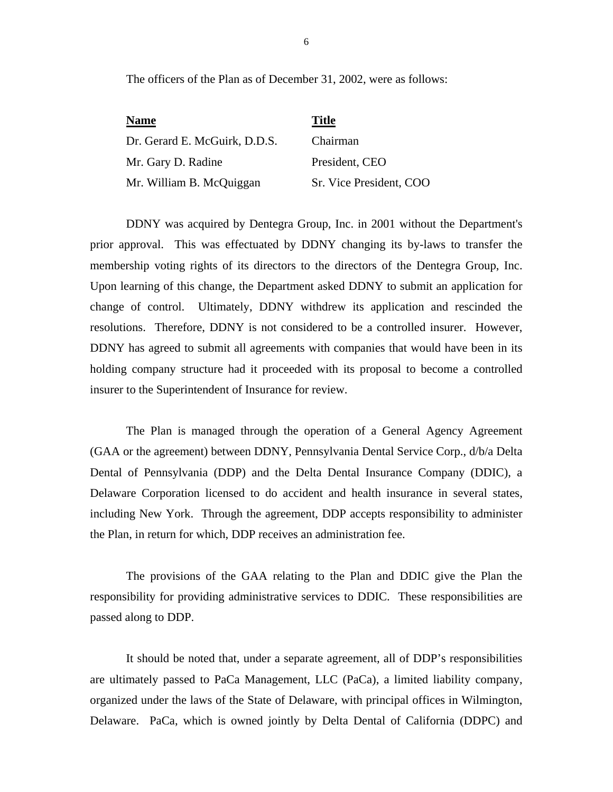The officers of the Plan as of December 31, 2002, were as follows:

| <b>Name</b>                   | <b>Title</b>            |
|-------------------------------|-------------------------|
| Dr. Gerard E. McGuirk, D.D.S. | Chairman                |
| Mr. Gary D. Radine            | President, CEO          |
| Mr. William B. McQuiggan      | Sr. Vice President, COO |

DDNY was acquired by Dentegra Group, Inc. in 2001 without the Department's prior approval. This was effectuated by DDNY changing its by-laws to transfer the membership voting rights of its directors to the directors of the Dentegra Group, Inc. Upon learning of this change, the Department asked DDNY to submit an application for change of control. Ultimately, DDNY withdrew its application and rescinded the resolutions. Therefore, DDNY is not considered to be a controlled insurer. However, DDNY has agreed to submit all agreements with companies that would have been in its holding company structure had it proceeded with its proposal to become a controlled insurer to the Superintendent of Insurance for review.

The Plan is managed through the operation of a General Agency Agreement (GAA or the agreement) between DDNY, Pennsylvania Dental Service Corp., d/b/a Delta Dental of Pennsylvania (DDP) and the Delta Dental Insurance Company (DDIC), a Delaware Corporation licensed to do accident and health insurance in several states, including New York. Through the agreement, DDP accepts responsibility to administer the Plan, in return for which, DDP receives an administration fee.

The provisions of the GAA relating to the Plan and DDIC give the Plan the responsibility for providing administrative services to DDIC. These responsibilities are passed along to DDP.

It should be noted that, under a separate agreement, all of DDP's responsibilities are ultimately passed to PaCa Management, LLC (PaCa), a limited liability company, organized under the laws of the State of Delaware, with principal offices in Wilmington, Delaware. PaCa, which is owned jointly by Delta Dental of California (DDPC) and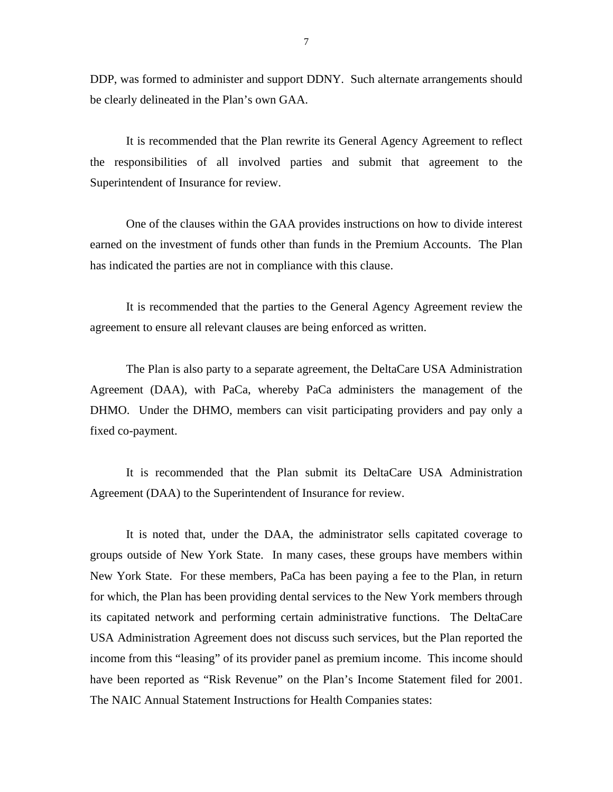DDP, was formed to administer and support DDNY. Such alternate arrangements should be clearly delineated in the Plan's own GAA.

It is recommended that the Plan rewrite its General Agency Agreement to reflect the responsibilities of all involved parties and submit that agreement to the Superintendent of Insurance for review.

One of the clauses within the GAA provides instructions on how to divide interest earned on the investment of funds other than funds in the Premium Accounts. The Plan has indicated the parties are not in compliance with this clause.

It is recommended that the parties to the General Agency Agreement review the agreement to ensure all relevant clauses are being enforced as written.

The Plan is also party to a separate agreement, the DeltaCare USA Administration Agreement (DAA), with PaCa, whereby PaCa administers the management of the DHMO. Under the DHMO, members can visit participating providers and pay only a fixed co-payment.

It is recommended that the Plan submit its DeltaCare USA Administration Agreement (DAA) to the Superintendent of Insurance for review.

It is noted that, under the DAA, the administrator sells capitated coverage to groups outside of New York State. In many cases, these groups have members within New York State. For these members, PaCa has been paying a fee to the Plan, in return for which, the Plan has been providing dental services to the New York members through its capitated network and performing certain administrative functions. The DeltaCare USA Administration Agreement does not discuss such services, but the Plan reported the income from this "leasing" of its provider panel as premium income. This income should have been reported as "Risk Revenue" on the Plan's Income Statement filed for 2001. The NAIC Annual Statement Instructions for Health Companies states: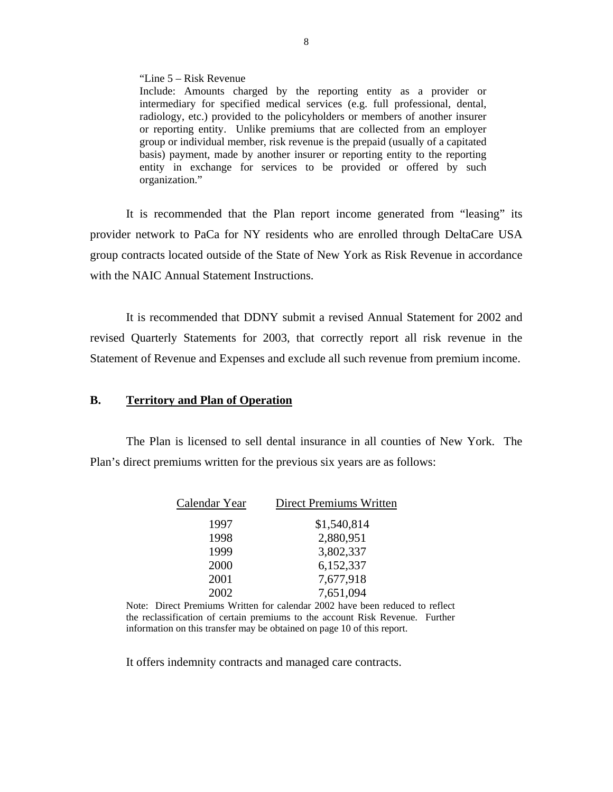"Line 5 – Risk Revenue

Include: Amounts charged by the reporting entity as a provider or intermediary for specified medical services (e.g. full professional, dental, radiology, etc.) provided to the policyholders or members of another insurer or reporting entity. Unlike premiums that are collected from an employer group or individual member, risk revenue is the prepaid (usually of a capitated basis) payment, made by another insurer or reporting entity to the reporting entity in exchange for services to be provided or offered by such organization."

It is recommended that the Plan report income generated from "leasing" its provider network to PaCa for NY residents who are enrolled through DeltaCare USA group contracts located outside of the State of New York as Risk Revenue in accordance with the NAIC Annual Statement Instructions.

It is recommended that DDNY submit a revised Annual Statement for 2002 and revised Quarterly Statements for 2003, that correctly report all risk revenue in the Statement of Revenue and Expenses and exclude all such revenue from premium income.

#### **B. Territory and Plan of Operation**

The Plan is licensed to sell dental insurance in all counties of New York. The Plan's direct premiums written for the previous six years are as follows:

| Calendar Year | <b>Direct Premiums Written</b> |
|---------------|--------------------------------|
| 1997          | \$1,540,814                    |
| 1998          | 2,880,951                      |
| 1999          | 3,802,337                      |
| 2000          | 6,152,337                      |
| 2001          | 7,677,918                      |
| 2002          | 7,651,094                      |

 Note: Direct Premiums Written for calendar 2002 have been reduced to reflect information on this transfer may be obtained on page 10 of this report. the reclassification of certain premiums to the account Risk Revenue. Further

It offers indemnity contracts and managed care contracts.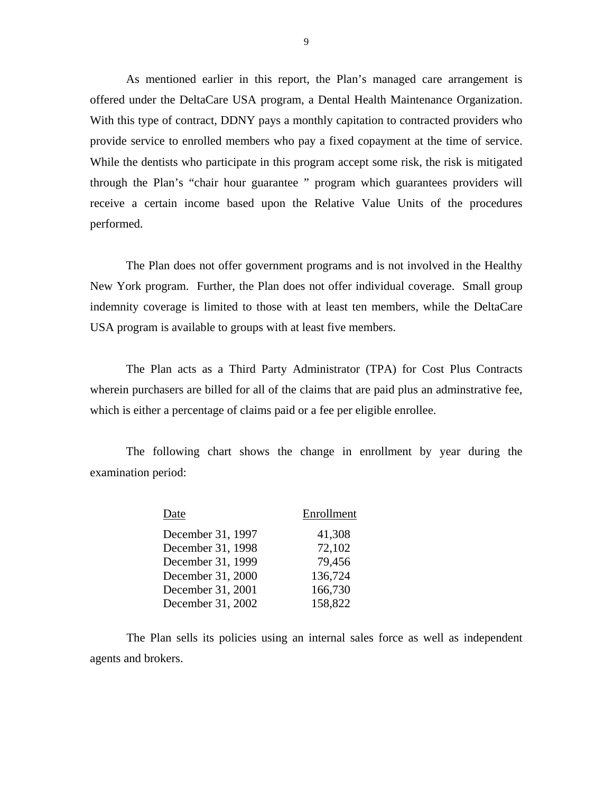As mentioned earlier in this report, the Plan's managed care arrangement is offered under the DeltaCare USA program, a Dental Health Maintenance Organization. With this type of contract, DDNY pays a monthly capitation to contracted providers who provide service to enrolled members who pay a fixed copayment at the time of service. While the dentists who participate in this program accept some risk, the risk is mitigated through the Plan's "chair hour guarantee " program which guarantees providers will receive a certain income based upon the Relative Value Units of the procedures performed.

The Plan does not offer government programs and is not involved in the Healthy New York program. Further, the Plan does not offer individual coverage. Small group indemnity coverage is limited to those with at least ten members, while the DeltaCare USA program is available to groups with at least five members.

The Plan acts as a Third Party Administrator (TPA) for Cost Plus Contracts wherein purchasers are billed for all of the claims that are paid plus an adminstrative fee, which is either a percentage of claims paid or a fee per eligible enrollee.

The following chart shows the change in enrollment by year during the examination period:

| Date              | Enrollment |
|-------------------|------------|
| December 31, 1997 | 41,308     |
| December 31, 1998 | 72,102     |
| December 31, 1999 | 79,456     |
| December 31, 2000 | 136,724    |
| December 31, 2001 | 166,730    |
| December 31, 2002 | 158,822    |

The Plan sells its policies using an internal sales force as well as independent agents and brokers.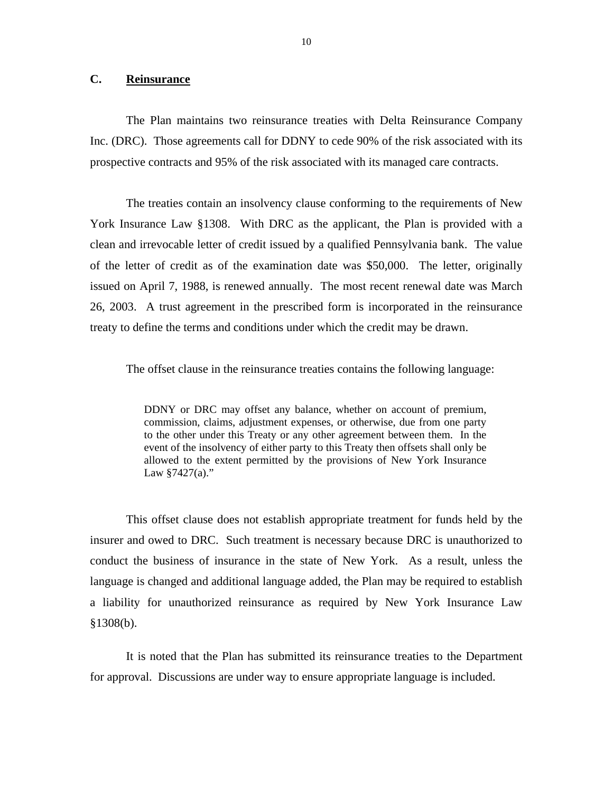## <span id="page-11-0"></span>**C. Reinsurance**

The Plan maintains two reinsurance treaties with Delta Reinsurance Company Inc. (DRC). Those agreements call for DDNY to cede 90% of the risk associated with its prospective contracts and 95% of the risk associated with its managed care contracts.

The treaties contain an insolvency clause conforming to the requirements of New York Insurance Law §1308. With DRC as the applicant, the Plan is provided with a clean and irrevocable letter of credit issued by a qualified Pennsylvania bank. The value of the letter of credit as of the examination date was \$50,000. The letter, originally issued on April 7, 1988, is renewed annually. The most recent renewal date was March 26, 2003. A trust agreement in the prescribed form is incorporated in the reinsurance treaty to define the terms and conditions under which the credit may be drawn.

The offset clause in the reinsurance treaties contains the following language:

DDNY or DRC may offset any balance, whether on account of premium, commission, claims, adjustment expenses, or otherwise, due from one party to the other under this Treaty or any other agreement between them. In the event of the insolvency of either party to this Treaty then offsets shall only be allowed to the extent permitted by the provisions of New York Insurance Law §7427(a)."

This offset clause does not establish appropriate treatment for funds held by the insurer and owed to DRC. Such treatment is necessary because DRC is unauthorized to conduct the business of insurance in the state of New York. As a result, unless the language is changed and additional language added, the Plan may be required to establish a liability for unauthorized reinsurance as required by New York Insurance Law §1308(b).

It is noted that the Plan has submitted its reinsurance treaties to the Department for approval. Discussions are under way to ensure appropriate language is included.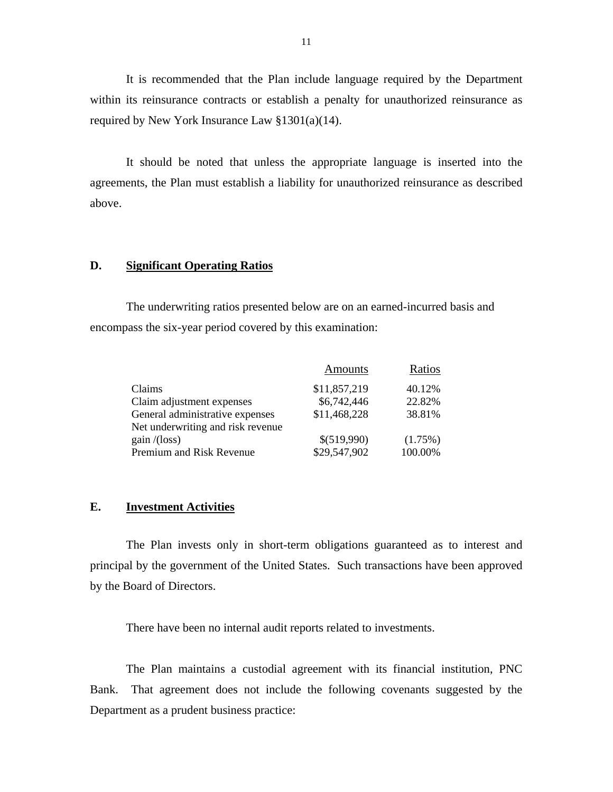It is recommended that the Plan include language required by the Department within its reinsurance contracts or establish a penalty for unauthorized reinsurance as required by New York Insurance Law §1301(a)(14).

It should be noted that unless the appropriate language is inserted into the agreements, the Plan must establish a liability for unauthorized reinsurance as described above.

#### **D. Significant Operating Ratios**

The underwriting ratios presented below are on an earned-incurred basis and encompass the six-year period covered by this examination:

|                                   | Amounts      | Ratios  |
|-----------------------------------|--------------|---------|
| Claims                            | \$11,857,219 | 40.12%  |
| Claim adjustment expenses         | \$6,742,446  | 22.82%  |
| General administrative expenses   | \$11,468,228 | 38.81%  |
| Net underwriting and risk revenue |              |         |
| gain/(loss)                       | \$(519,990)  | (1.75%) |
| Premium and Risk Revenue          | \$29,547,902 | 100.00% |

#### **E. Investment Activities**

The Plan invests only in short-term obligations guaranteed as to interest and principal by the government of the United States. Such transactions have been approved by the Board of Directors.

There have been no internal audit reports related to investments.

The Plan maintains a custodial agreement with its financial institution, PNC Bank. That agreement does not include the following covenants suggested by the Department as a prudent business practice: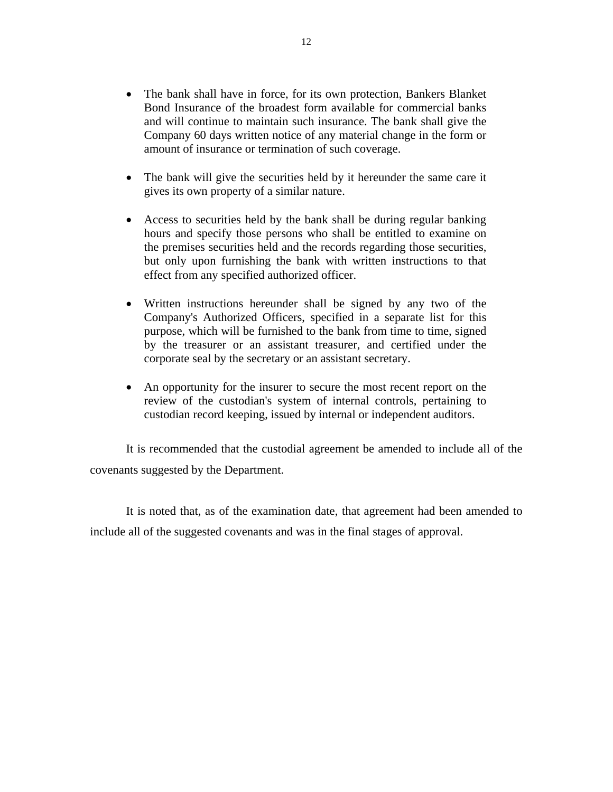- The bank shall have in force, for its own protection, Bankers Blanket Bond Insurance of the broadest form available for commercial banks and will continue to maintain such insurance. The bank shall give the Company 60 days written notice of any material change in the form or amount of insurance or termination of such coverage.
- The bank will give the securities held by it hereunder the same care it gives its own property of a similar nature.
- Access to securities held by the bank shall be during regular banking hours and specify those persons who shall be entitled to examine on the premises securities held and the records regarding those securities, but only upon furnishing the bank with written instructions to that effect from any specified authorized officer.
- Written instructions hereunder shall be signed by any two of the Company's Authorized Officers, specified in a separate list for this purpose, which will be furnished to the bank from time to time, signed by the treasurer or an assistant treasurer, and certified under the corporate seal by the secretary or an assistant secretary.
- An opportunity for the insurer to secure the most recent report on the review of the custodian's system of internal controls, pertaining to custodian record keeping, issued by internal or independent auditors.

It is recommended that the custodial agreement be amended to include all of the covenants suggested by the Department.

It is noted that, as of the examination date, that agreement had been amended to include all of the suggested covenants and was in the final stages of approval.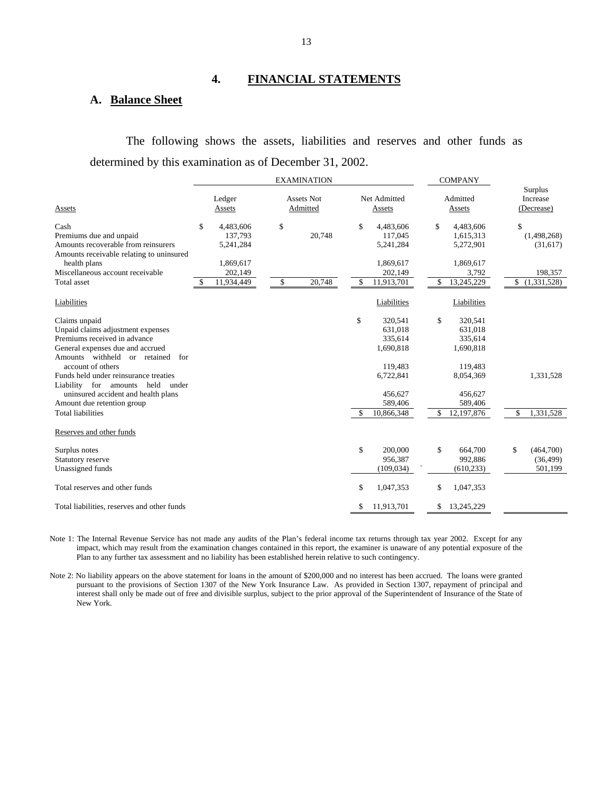# **4. FINANCIAL STATEMENTS**

#### **A. Balance Sheet**

The following shows the assets, liabilities and reserves and other funds as determined by this examination as of December 31, 2002.

|                                                                            |    |                  |    |                               | <b>EXAMINATION</b> |                        |             |                    | <b>COMPANY</b> |                                   |             |
|----------------------------------------------------------------------------|----|------------------|----|-------------------------------|--------------------|------------------------|-------------|--------------------|----------------|-----------------------------------|-------------|
| Assets                                                                     |    | Ledger<br>Assets |    | <b>Assets Not</b><br>Admitted |                    | Net Admitted<br>Assets |             | Admitted<br>Assets |                | Surplus<br>Increase<br>(Decrease) |             |
| Cash                                                                       | \$ | 4,483,606        | \$ |                               |                    | \$                     | 4,483,606   | \$                 | 4,483,606      | \$                                |             |
| Premiums due and unpaid                                                    |    | 137,793          |    |                               | 20,748             |                        | 117,045     |                    | 1,615,313      |                                   | (1,498,268) |
| Amounts recoverable from reinsurers                                        |    | 5,241,284        |    |                               |                    |                        | 5,241,284   |                    | 5,272,901      |                                   | (31,617)    |
| Amounts receivable relating to uninsured<br>health plans                   |    | 1,869,617        |    |                               |                    |                        | 1,869,617   |                    | 1,869,617      |                                   |             |
| Miscellaneous account receivable                                           |    | 202,149          |    |                               |                    |                        | 202,149     |                    | 3,792          |                                   | 198,357     |
| Total asset                                                                | S  | 11,934,449       |    | \$                            | 20,748             | \$                     | 11,913,701  | \$                 | 13,245,229     | \$                                | (1,331,528) |
| Liabilities                                                                |    |                  |    |                               |                    |                        | Liabilities |                    | Liabilities    |                                   |             |
| Claims unpaid                                                              |    |                  |    |                               |                    | \$                     | 320,541     | \$                 | 320,541        |                                   |             |
| Unpaid claims adjustment expenses                                          |    |                  |    |                               |                    |                        | 631,018     |                    | 631,018        |                                   |             |
| Premiums received in advance                                               |    |                  |    |                               |                    |                        | 335,614     |                    | 335,614        |                                   |             |
| General expenses due and accrued                                           |    |                  |    |                               |                    |                        | 1,690,818   |                    | 1,690,818      |                                   |             |
| Amounts withheld or retained for                                           |    |                  |    |                               |                    |                        |             |                    |                |                                   |             |
| account of others                                                          |    |                  |    |                               |                    |                        | 119,483     |                    | 119,483        |                                   |             |
| Funds held under reinsurance treaties                                      |    |                  |    |                               |                    |                        | 6,722,841   |                    | 8,054,369      |                                   | 1,331,528   |
| Liability for amounts held<br>under<br>uninsured accident and health plans |    |                  |    |                               |                    |                        | 456,627     |                    | 456,627        |                                   |             |
| Amount due retention group                                                 |    |                  |    |                               |                    |                        | 589,406     |                    | 589,406        |                                   |             |
| <b>Total liabilities</b>                                                   |    |                  |    |                               |                    | \$.                    | 10,866,348  | \$                 | 12,197,876     | \$                                | 1,331,528   |
|                                                                            |    |                  |    |                               |                    |                        |             |                    |                |                                   |             |
| Reserves and other funds                                                   |    |                  |    |                               |                    |                        |             |                    |                |                                   |             |
| Surplus notes                                                              |    |                  |    |                               |                    | \$                     | 200,000     | \$                 | 664,700        | \$                                | (464,700)   |
| Statutory reserve                                                          |    |                  |    |                               |                    |                        | 956,387     |                    | 992,886        |                                   | (36, 499)   |
| Unassigned funds                                                           |    |                  |    |                               |                    |                        | (109, 034)  |                    | (610, 233)     |                                   | 501,199     |
| Total reserves and other funds                                             |    |                  |    |                               |                    | \$                     | 1,047,353   | \$                 | 1,047,353      |                                   |             |
| Total liabilities, reserves and other funds                                |    |                  |    |                               |                    | S                      | 11,913,701  | \$                 | 13,245,229     |                                   |             |

Note 1: The Internal Revenue Service has not made any audits of the Plan's federal income tax returns through tax year 2002. Except for any impact, which may result from the examination changes contained in this report, the examiner is unaware of any potential exposure of the Plan to any further tax assessment and no liability has been established herein relative to such contingency.

Note 2: No liability appears on the above statement for loans in the amount of \$200,000 and no interest has been accrued. The loans were granted pursuant to the provisions of Section 1307 of the New York Insurance Law. As provided in Section 1307, repayment of principal and interest shall only be made out of free and divisible surplus, subject to the prior approval of the Superintendent of Insurance of the State of New York.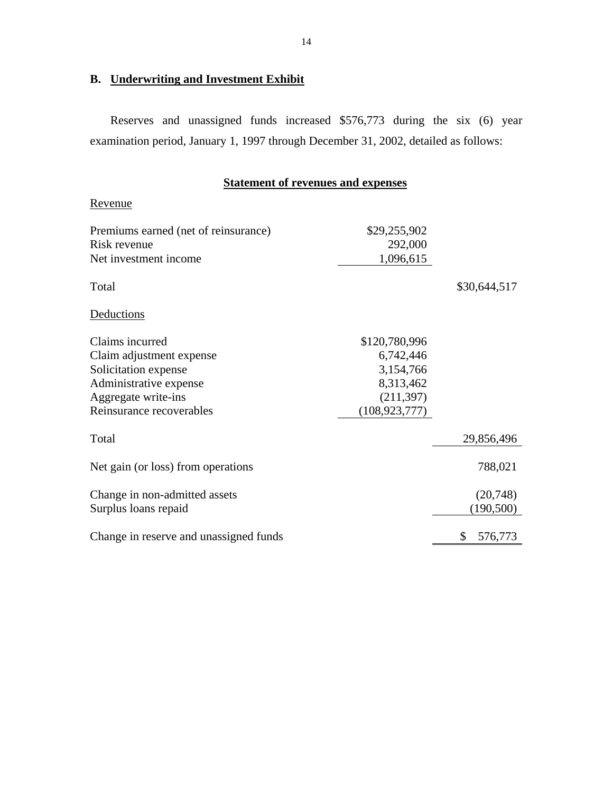# **B. Underwriting and Investment Exhibit**

Reserves and unassigned funds increased \$576,773 during the six (6) year examination period, January 1, 1997 through December 31, 2002, detailed as follows:

# **Statement of revenues and expenses**

| Revenue                                                                                                                                          |                                                                                       |                        |
|--------------------------------------------------------------------------------------------------------------------------------------------------|---------------------------------------------------------------------------------------|------------------------|
| Premiums earned (net of reinsurance)<br>Risk revenue<br>Net investment income                                                                    | \$29,255,902<br>292,000<br>1,096,615                                                  |                        |
| Total                                                                                                                                            |                                                                                       | \$30,644,517           |
| Deductions                                                                                                                                       |                                                                                       |                        |
| Claims incurred<br>Claim adjustment expense<br>Solicitation expense<br>Administrative expense<br>Aggregate write-ins<br>Reinsurance recoverables | \$120,780,996<br>6,742,446<br>3,154,766<br>8,313,462<br>(211, 397)<br>(108, 923, 777) |                        |
| Total                                                                                                                                            |                                                                                       | 29,856,496             |
| Net gain (or loss) from operations                                                                                                               |                                                                                       | 788,021                |
| Change in non-admitted assets<br>Surplus loans repaid                                                                                            |                                                                                       | (20,748)<br>(190, 500) |
| Change in reserve and unassigned funds                                                                                                           |                                                                                       | \$<br>576,773          |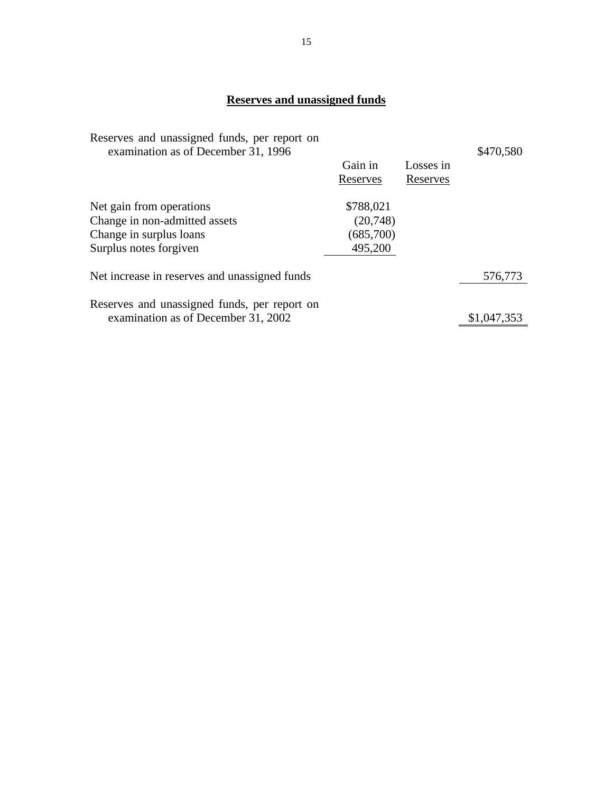# **Reserves and unassigned funds**

| Reserves and unassigned funds, per report on<br>examination as of December 31, 1996 | Gain in<br>Reserves | Losses in<br>Reserves | \$470,580   |
|-------------------------------------------------------------------------------------|---------------------|-----------------------|-------------|
| Net gain from operations                                                            | \$788,021           |                       |             |
| Change in non-admitted assets                                                       | (20,748)            |                       |             |
| Change in surplus loans                                                             | (685,700)           |                       |             |
| Surplus notes forgiven                                                              | 495,200             |                       |             |
| Net increase in reserves and unassigned funds                                       |                     |                       | 576,773     |
|                                                                                     |                     |                       |             |
| Reserves and unassigned funds, per report on<br>examination as of December 31, 2002 |                     |                       | \$1,047,353 |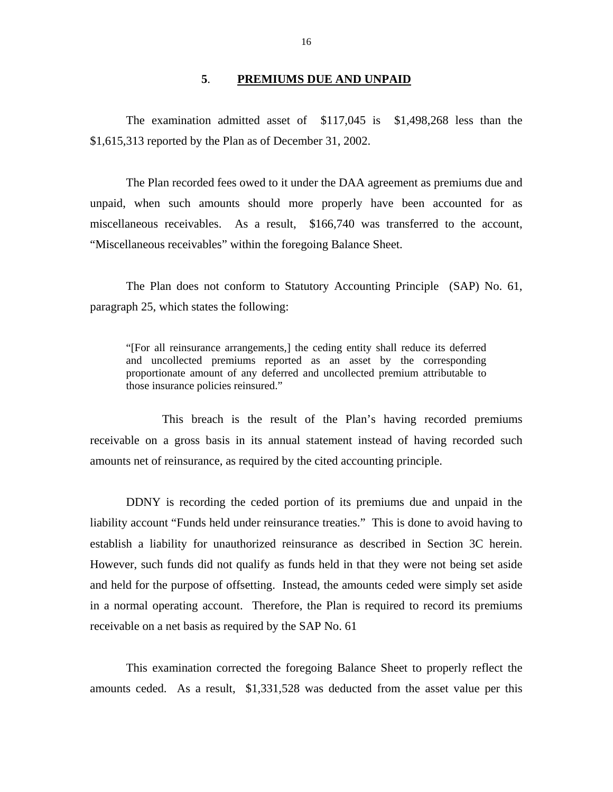## **5**. **PREMIUMS DUE AND UNPAID**

<span id="page-17-0"></span>The examination admitted asset of \$117,045 is \$1,498,268 less than the \$1,615,313 reported by the Plan as of December 31, 2002.

The Plan recorded fees owed to it under the DAA agreement as premiums due and unpaid, when such amounts should more properly have been accounted for as miscellaneous receivables. As a result, \$166,740 was transferred to the account, "Miscellaneous receivables" within the foregoing Balance Sheet.

The Plan does not conform to Statutory Accounting Principle (SAP) No. 61, paragraph 25, which states the following:

"[For all reinsurance arrangements,] the ceding entity shall reduce its deferred and uncollected premiums reported as an asset by the corresponding proportionate amount of any deferred and uncollected premium attributable to those insurance policies reinsured."

This breach is the result of the Plan's having recorded premiums receivable on a gross basis in its annual statement instead of having recorded such amounts net of reinsurance, as required by the cited accounting principle.

DDNY is recording the ceded portion of its premiums due and unpaid in the liability account "Funds held under reinsurance treaties." This is done to avoid having to establish a liability for unauthorized reinsurance as described in Section 3C herein. However, such funds did not qualify as funds held in that they were not being set aside and held for the purpose of offsetting. Instead, the amounts ceded were simply set aside in a normal operating account. Therefore, the Plan is required to record its premiums receivable on a net basis as required by the SAP No. 61

This examination corrected the foregoing Balance Sheet to properly reflect the amounts ceded. As a result, \$1,331,528 was deducted from the asset value per this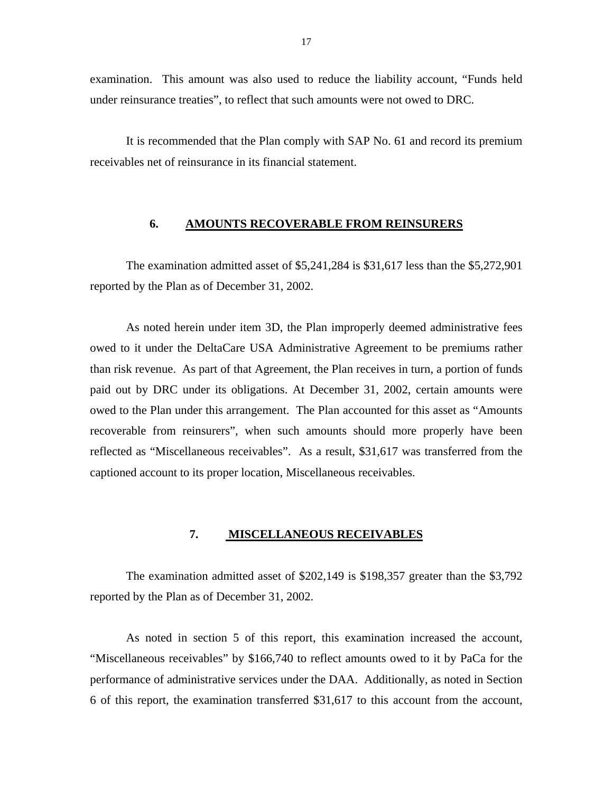<span id="page-18-0"></span>examination. This amount was also used to reduce the liability account, "Funds held under reinsurance treaties", to reflect that such amounts were not owed to DRC.

It is recommended that the Plan comply with SAP No. 61 and record its premium receivables net of reinsurance in its financial statement.

#### **6. AMOUNTS RECOVERABLE FROM REINSURERS**

The examination admitted asset of \$5,241,284 is \$31,617 less than the \$5,272,901 reported by the Plan as of December 31, 2002.

As noted herein under item 3D, the Plan improperly deemed administrative fees owed to it under the DeltaCare USA Administrative Agreement to be premiums rather than risk revenue. As part of that Agreement, the Plan receives in turn, a portion of funds paid out by DRC under its obligations. At December 31, 2002, certain amounts were owed to the Plan under this arrangement. The Plan accounted for this asset as "Amounts recoverable from reinsurers", when such amounts should more properly have been reflected as "Miscellaneous receivables". As a result, \$31,617 was transferred from the captioned account to its proper location, Miscellaneous receivables.

#### **7. MISCELLANEOUS RECEIVABLES**

The examination admitted asset of \$202,149 is \$198,357 greater than the \$3,792 reported by the Plan as of December 31, 2002.

As noted in section 5 of this report, this examination increased the account, "Miscellaneous receivables" by \$166,740 to reflect amounts owed to it by PaCa for the performance of administrative services under the DAA. Additionally, as noted in Section 6 of this report, the examination transferred \$31,617 to this account from the account,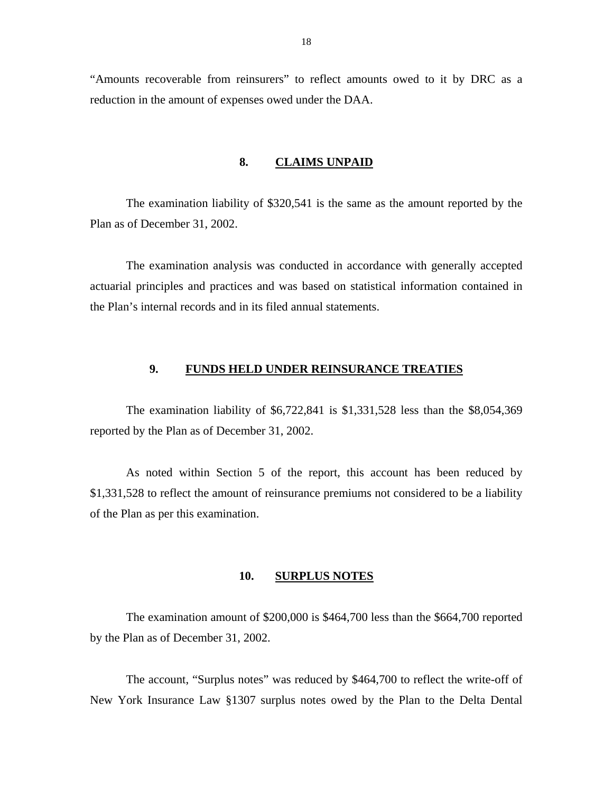<span id="page-19-0"></span>"Amounts recoverable from reinsurers" to reflect amounts owed to it by DRC as a reduction in the amount of expenses owed under the DAA.

#### **8. CLAIMS UNPAID**

The examination liability of \$320,541 is the same as the amount reported by the Plan as of December 31, 2002.

The examination analysis was conducted in accordance with generally accepted actuarial principles and practices and was based on statistical information contained in the Plan's internal records and in its filed annual statements.

# **9. FUNDS HELD UNDER REINSURANCE TREATIES**

The examination liability of \$6,722,841 is \$1,331,528 less than the \$8,054,369 reported by the Plan as of December 31, 2002.

As noted within Section 5 of the report, this account has been reduced by \$1,331,528 to reflect the amount of reinsurance premiums not considered to be a liability of the Plan as per this examination.

#### **10. SURPLUS NOTES**

The examination amount of \$200,000 is \$464,700 less than the \$664,700 reported by the Plan as of December 31, 2002.

The account, "Surplus notes" was reduced by \$464,700 to reflect the write-off of New York Insurance Law §1307 surplus notes owed by the Plan to the Delta Dental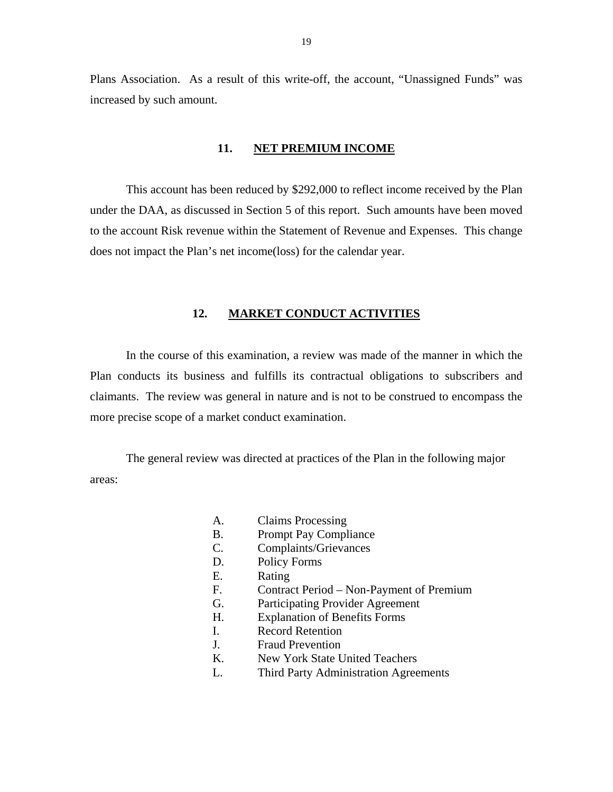<span id="page-20-0"></span>Plans Association. As a result of this write-off, the account, "Unassigned Funds" was increased by such amount.

#### **11. NET PREMIUM INCOME**

This account has been reduced by \$292,000 to reflect income received by the Plan under the DAA, as discussed in Section 5 of this report. Such amounts have been moved to the account Risk revenue within the Statement of Revenue and Expenses. This change does not impact the Plan's net income(loss) for the calendar year.

#### **12. MARKET CONDUCT ACTIVITIES**

In the course of this examination, a review was made of the manner in which the Plan conducts its business and fulfills its contractual obligations to subscribers and claimants. The review was general in nature and is not to be construed to encompass the more precise scope of a market conduct examination.

The general review was directed at practices of the Plan in the following major areas:

- A. Claims Processing
- B. Prompt Pay Compliance
- C. Complaints/Grievances
- D. Policy Forms
- E. Rating
- F. Contract Period Non-Payment of Premium
- G. Participating Provider Agreement
- H. Explanation of Benefits Forms
- I. Record Retention
- J. Fraud Prevention
- K. New York State United Teachers
- L. Third Party Administration Agreements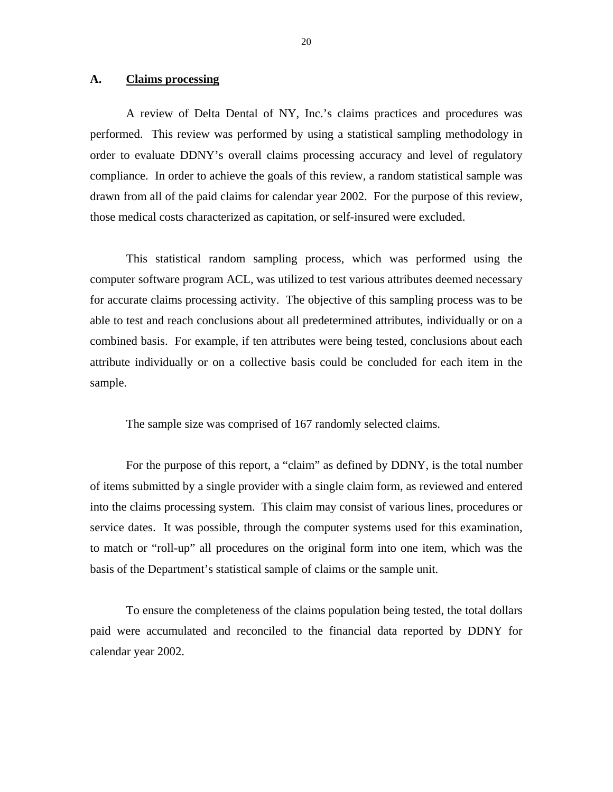#### <span id="page-21-0"></span>**A. Claims processing**

A review of Delta Dental of NY, Inc.'s claims practices and procedures was performed. This review was performed by using a statistical sampling methodology in order to evaluate DDNY's overall claims processing accuracy and level of regulatory compliance. In order to achieve the goals of this review, a random statistical sample was drawn from all of the paid claims for calendar year 2002. For the purpose of this review, those medical costs characterized as capitation, or self-insured were excluded.

This statistical random sampling process, which was performed using the computer software program ACL, was utilized to test various attributes deemed necessary for accurate claims processing activity. The objective of this sampling process was to be able to test and reach conclusions about all predetermined attributes, individually or on a combined basis. For example, if ten attributes were being tested, conclusions about each attribute individually or on a collective basis could be concluded for each item in the sample.

The sample size was comprised of 167 randomly selected claims.

For the purpose of this report, a "claim" as defined by DDNY, is the total number of items submitted by a single provider with a single claim form, as reviewed and entered into the claims processing system. This claim may consist of various lines, procedures or service dates. It was possible, through the computer systems used for this examination, to match or "roll-up" all procedures on the original form into one item, which was the basis of the Department's statistical sample of claims or the sample unit.

To ensure the completeness of the claims population being tested, the total dollars paid were accumulated and reconciled to the financial data reported by DDNY for calendar year 2002.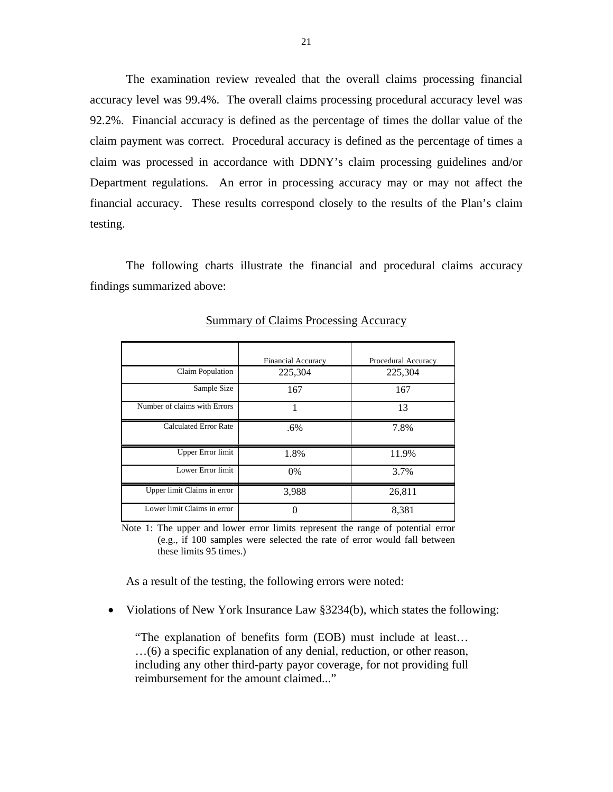The examination review revealed that the overall claims processing financial accuracy level was 99.4%. The overall claims processing procedural accuracy level was 92.2%. Financial accuracy is defined as the percentage of times the dollar value of the claim payment was correct. Procedural accuracy is defined as the percentage of times a claim was processed in accordance with DDNY's claim processing guidelines and/or Department regulations. An error in processing accuracy may or may not affect the financial accuracy. These results correspond closely to the results of the Plan's claim testing.

The following charts illustrate the financial and procedural claims accuracy findings summarized above:

|                              | <b>Financial Accuracy</b> | Procedural Accuracy |
|------------------------------|---------------------------|---------------------|
| <b>Claim Population</b>      | 225,304                   | 225,304             |
| Sample Size                  | 167                       | 167                 |
| Number of claims with Errors |                           | 13                  |
| <b>Calculated Error Rate</b> | .6%                       | 7.8%                |
| <b>Upper Error limit</b>     | 1.8%                      | 11.9%               |
| Lower Error limit            | $0\%$                     | 3.7%                |
| Upper limit Claims in error  | 3,988                     | 26,811              |
| Lower limit Claims in error  |                           | 8,381               |

Summary of Claims Processing Accuracy

Note 1: The upper and lower error limits represent the range of potential error (e.g., if 100 samples were selected the rate of error would fall between these limits 95 times.)

As a result of the testing, the following errors were noted:

• Violations of New York Insurance Law §3234(b), which states the following:

"The explanation of benefits form (EOB) must include at least… …(6) a specific explanation of any denial, reduction, or other reason, including any other third-party payor coverage, for not providing full reimbursement for the amount claimed..."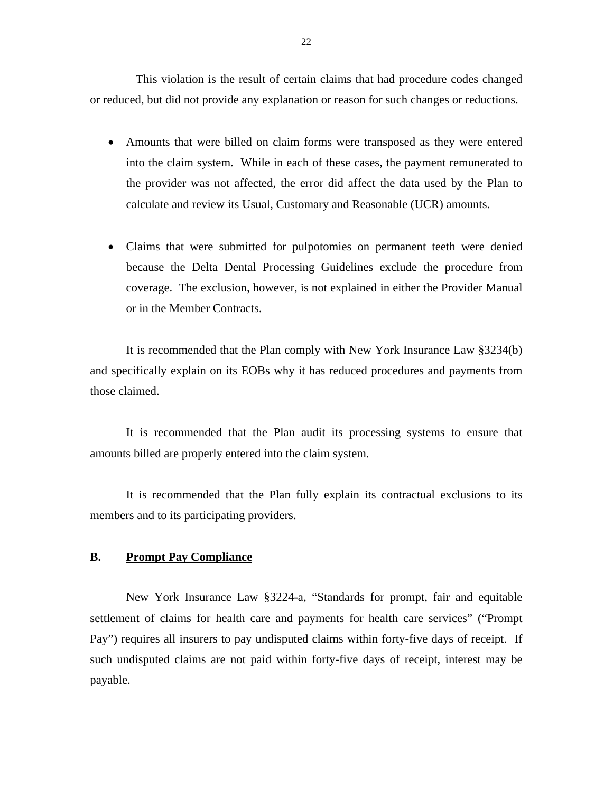<span id="page-23-0"></span>This violation is the result of certain claims that had procedure codes changed or reduced, but did not provide any explanation or reason for such changes or reductions.

- Amounts that were billed on claim forms were transposed as they were entered into the claim system. While in each of these cases, the payment remunerated to the provider was not affected, the error did affect the data used by the Plan to calculate and review its Usual, Customary and Reasonable (UCR) amounts.
- Claims that were submitted for pulpotomies on permanent teeth were denied because the Delta Dental Processing Guidelines exclude the procedure from coverage. The exclusion, however, is not explained in either the Provider Manual or in the Member Contracts.

It is recommended that the Plan comply with New York Insurance Law §3234(b) and specifically explain on its EOBs why it has reduced procedures and payments from those claimed.

It is recommended that the Plan audit its processing systems to ensure that amounts billed are properly entered into the claim system.

It is recommended that the Plan fully explain its contractual exclusions to its members and to its participating providers.

## **B. Prompt Pay Compliance**

New York Insurance Law §3224-a, "Standards for prompt, fair and equitable settlement of claims for health care and payments for health care services" ("Prompt Pay") requires all insurers to pay undisputed claims within forty-five days of receipt. If such undisputed claims are not paid within forty-five days of receipt, interest may be payable.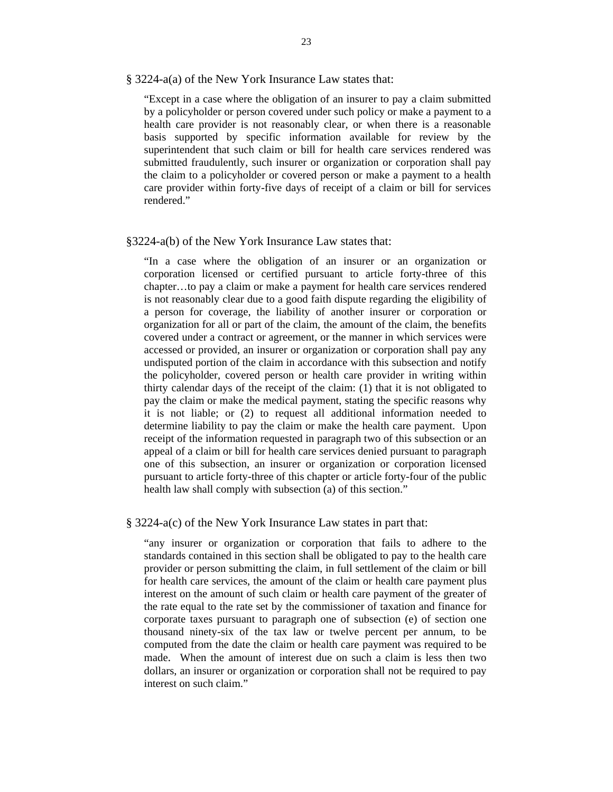§ 3224-a(a) of the New York Insurance Law states that:

"Except in a case where the obligation of an insurer to pay a claim submitted by a policyholder or person covered under such policy or make a payment to a health care provider is not reasonably clear, or when there is a reasonable basis supported by specific information available for review by the superintendent that such claim or bill for health care services rendered was submitted fraudulently, such insurer or organization or corporation shall pay the claim to a policyholder or covered person or make a payment to a health care provider within forty-five days of receipt of a claim or bill for services rendered."

#### §3224-a(b) of the New York Insurance Law states that:

"In a case where the obligation of an insurer or an organization or corporation licensed or certified pursuant to article forty-three of this chapter…to pay a claim or make a payment for health care services rendered is not reasonably clear due to a good faith dispute regarding the eligibility of a person for coverage, the liability of another insurer or corporation or organization for all or part of the claim, the amount of the claim, the benefits covered under a contract or agreement, or the manner in which services were accessed or provided, an insurer or organization or corporation shall pay any undisputed portion of the claim in accordance with this subsection and notify the policyholder, covered person or health care provider in writing within thirty calendar days of the receipt of the claim: (1) that it is not obligated to pay the claim or make the medical payment, stating the specific reasons why it is not liable; or (2) to request all additional information needed to determine liability to pay the claim or make the health care payment. Upon receipt of the information requested in paragraph two of this subsection or an appeal of a claim or bill for health care services denied pursuant to paragraph one of this subsection, an insurer or organization or corporation licensed pursuant to article forty-three of this chapter or article forty-four of the public health law shall comply with subsection (a) of this section."

#### § 3224-a(c) of the New York Insurance Law states in part that:

"any insurer or organization or corporation that fails to adhere to the standards contained in this section shall be obligated to pay to the health care provider or person submitting the claim, in full settlement of the claim or bill for health care services, the amount of the claim or health care payment plus interest on the amount of such claim or health care payment of the greater of the rate equal to the rate set by the commissioner of taxation and finance for corporate taxes pursuant to paragraph one of subsection (e) of section one thousand ninety-six of the tax law or twelve percent per annum, to be computed from the date the claim or health care payment was required to be made. When the amount of interest due on such a claim is less then two dollars, an insurer or organization or corporation shall not be required to pay interest on such claim."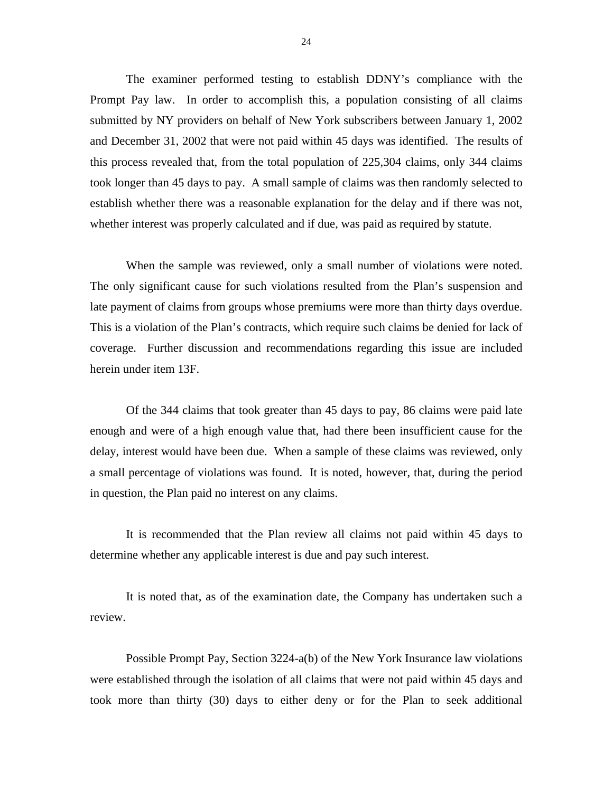The examiner performed testing to establish DDNY's compliance with the Prompt Pay law. In order to accomplish this, a population consisting of all claims submitted by NY providers on behalf of New York subscribers between January 1, 2002 and December 31, 2002 that were not paid within 45 days was identified. The results of this process revealed that, from the total population of 225,304 claims, only 344 claims took longer than 45 days to pay. A small sample of claims was then randomly selected to establish whether there was a reasonable explanation for the delay and if there was not, whether interest was properly calculated and if due, was paid as required by statute.

When the sample was reviewed, only a small number of violations were noted. The only significant cause for such violations resulted from the Plan's suspension and late payment of claims from groups whose premiums were more than thirty days overdue. This is a violation of the Plan's contracts, which require such claims be denied for lack of coverage. Further discussion and recommendations regarding this issue are included herein under item 13F.

Of the 344 claims that took greater than 45 days to pay, 86 claims were paid late enough and were of a high enough value that, had there been insufficient cause for the delay, interest would have been due. When a sample of these claims was reviewed, only a small percentage of violations was found. It is noted, however, that, during the period in question, the Plan paid no interest on any claims.

It is recommended that the Plan review all claims not paid within 45 days to determine whether any applicable interest is due and pay such interest.

It is noted that, as of the examination date, the Company has undertaken such a review.

Possible Prompt Pay, Section 3224-a(b) of the New York Insurance law violations were established through the isolation of all claims that were not paid within 45 days and took more than thirty (30) days to either deny or for the Plan to seek additional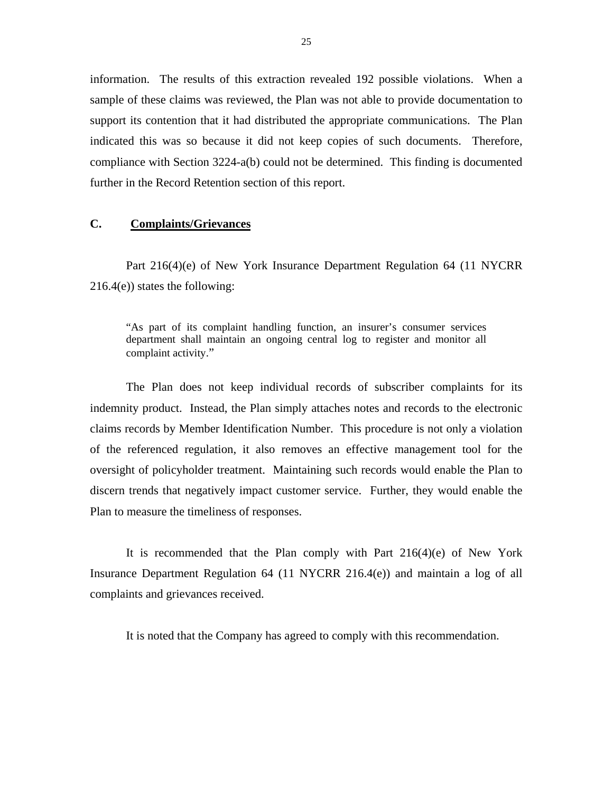<span id="page-26-0"></span>information. The results of this extraction revealed 192 possible violations. When a sample of these claims was reviewed, the Plan was not able to provide documentation to support its contention that it had distributed the appropriate communications. The Plan indicated this was so because it did not keep copies of such documents. Therefore, compliance with Section 3224-a(b) could not be determined. This finding is documented further in the Record Retention section of this report.

#### **C. Complaints/Grievances**

Part 216(4)(e) of New York Insurance Department Regulation 64 (11 NYCRR  $216.4(e)$ ) states the following:

"As part of its complaint handling function, an insurer's consumer services department shall maintain an ongoing central log to register and monitor all complaint activity."

The Plan does not keep individual records of subscriber complaints for its indemnity product. Instead, the Plan simply attaches notes and records to the electronic claims records by Member Identification Number. This procedure is not only a violation of the referenced regulation, it also removes an effective management tool for the oversight of policyholder treatment. Maintaining such records would enable the Plan to discern trends that negatively impact customer service. Further, they would enable the Plan to measure the timeliness of responses.

It is recommended that the Plan comply with Part  $216(4)(e)$  of New York Insurance Department Regulation 64 (11 NYCRR 216.4(e)) and maintain a log of all complaints and grievances received.

It is noted that the Company has agreed to comply with this recommendation.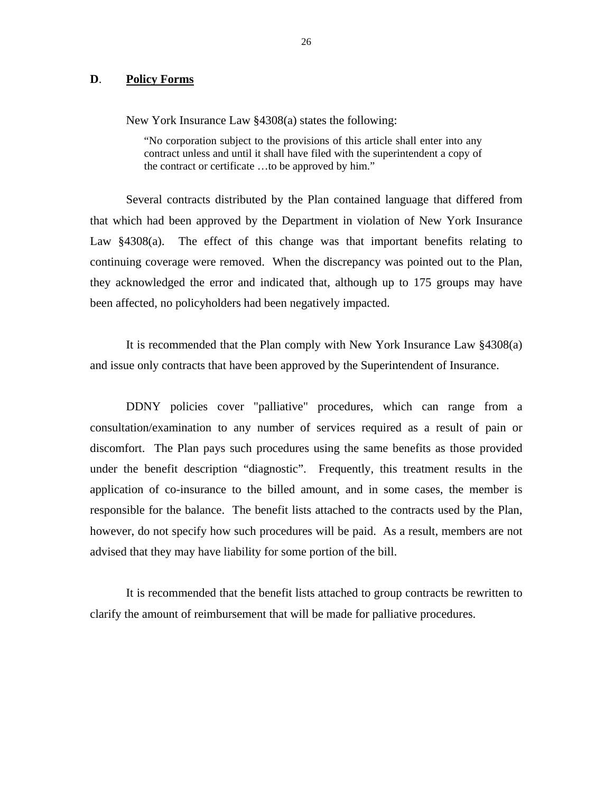#### <span id="page-27-0"></span>**D**. **Policy Forms**

New York Insurance Law §4308(a) states the following:

 the contract or certificate …to be approved by him." "No corporation subject to the provisions of this article shall enter into any contract unless and until it shall have filed with the superintendent a copy of

Several contracts distributed by the Plan contained language that differed from that which had been approved by the Department in violation of New York Insurance Law §4308(a). The effect of this change was that important benefits relating to continuing coverage were removed. When the discrepancy was pointed out to the Plan, they acknowledged the error and indicated that, although up to 175 groups may have been affected, no policyholders had been negatively impacted.

It is recommended that the Plan comply with New York Insurance Law §4308(a) and issue only contracts that have been approved by the Superintendent of Insurance.

DDNY policies cover "palliative" procedures, which can range from a consultation/examination to any number of services required as a result of pain or discomfort. The Plan pays such procedures using the same benefits as those provided under the benefit description "diagnostic". Frequently, this treatment results in the application of co-insurance to the billed amount, and in some cases, the member is responsible for the balance. The benefit lists attached to the contracts used by the Plan, however, do not specify how such procedures will be paid. As a result, members are not advised that they may have liability for some portion of the bill.

It is recommended that the benefit lists attached to group contracts be rewritten to clarify the amount of reimbursement that will be made for palliative procedures.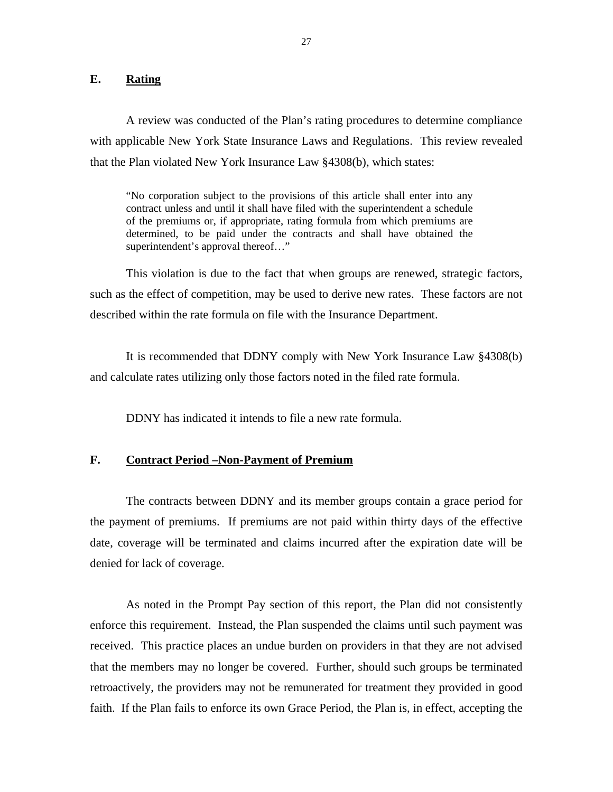## <span id="page-28-0"></span>**E. Rating**

A review was conducted of the Plan's rating procedures to determine compliance with applicable New York State Insurance Laws and Regulations. This review revealed that the Plan violated New York Insurance Law §4308(b), which states:

"No corporation subject to the provisions of this article shall enter into any contract unless and until it shall have filed with the superintendent a schedule of the premiums or, if appropriate, rating formula from which premiums are determined, to be paid under the contracts and shall have obtained the superintendent's approval thereof…"

This violation is due to the fact that when groups are renewed, strategic factors, such as the effect of competition, may be used to derive new rates. These factors are not described within the rate formula on file with the Insurance Department.

It is recommended that DDNY comply with New York Insurance Law §4308(b) and calculate rates utilizing only those factors noted in the filed rate formula.

DDNY has indicated it intends to file a new rate formula.

## **F. Contract Period –Non-Payment of Premium**

The contracts between DDNY and its member groups contain a grace period for the payment of premiums. If premiums are not paid within thirty days of the effective date, coverage will be terminated and claims incurred after the expiration date will be denied for lack of coverage.

As noted in the Prompt Pay section of this report, the Plan did not consistently enforce this requirement. Instead, the Plan suspended the claims until such payment was received. This practice places an undue burden on providers in that they are not advised that the members may no longer be covered. Further, should such groups be terminated retroactively, the providers may not be remunerated for treatment they provided in good faith. If the Plan fails to enforce its own Grace Period, the Plan is, in effect, accepting the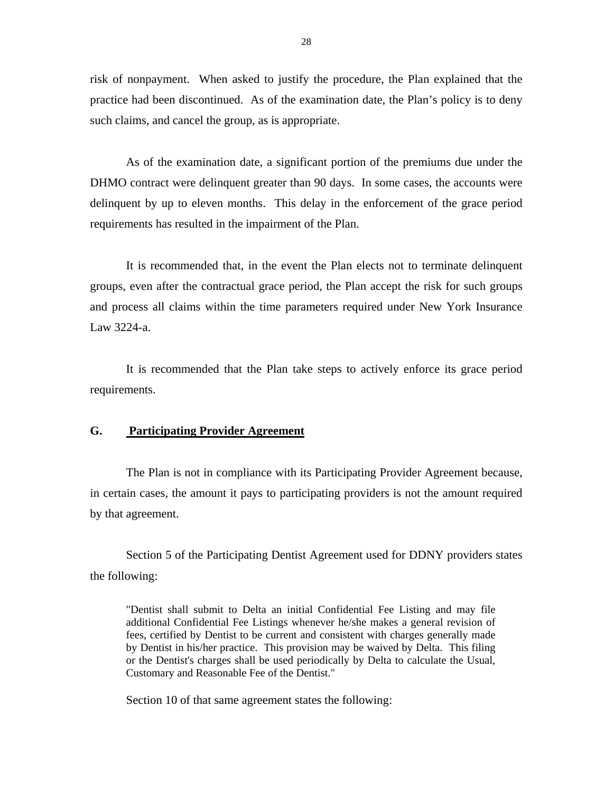<span id="page-29-0"></span>risk of nonpayment. When asked to justify the procedure, the Plan explained that the practice had been discontinued. As of the examination date, the Plan's policy is to deny such claims, and cancel the group, as is appropriate.

As of the examination date, a significant portion of the premiums due under the DHMO contract were delinquent greater than 90 days. In some cases, the accounts were delinquent by up to eleven months. This delay in the enforcement of the grace period requirements has resulted in the impairment of the Plan.

It is recommended that, in the event the Plan elects not to terminate delinquent groups, even after the contractual grace period, the Plan accept the risk for such groups and process all claims within the time parameters required under New York Insurance Law 3224-a.

It is recommended that the Plan take steps to actively enforce its grace period requirements.

## **G. Participating Provider Agreement**

The Plan is not in compliance with its Participating Provider Agreement because, in certain cases, the amount it pays to participating providers is not the amount required by that agreement.

Section 5 of the Participating Dentist Agreement used for DDNY providers states the following:

"Dentist shall submit to Delta an initial Confidential Fee Listing and may file additional Confidential Fee Listings whenever he/she makes a general revision of fees, certified by Dentist to be current and consistent with charges generally made by Dentist in his/her practice. This provision may be waived by Delta. This filing or the Dentist's charges shall be used periodically by Delta to calculate the Usual, Customary and Reasonable Fee of the Dentist."

Section 10 of that same agreement states the following: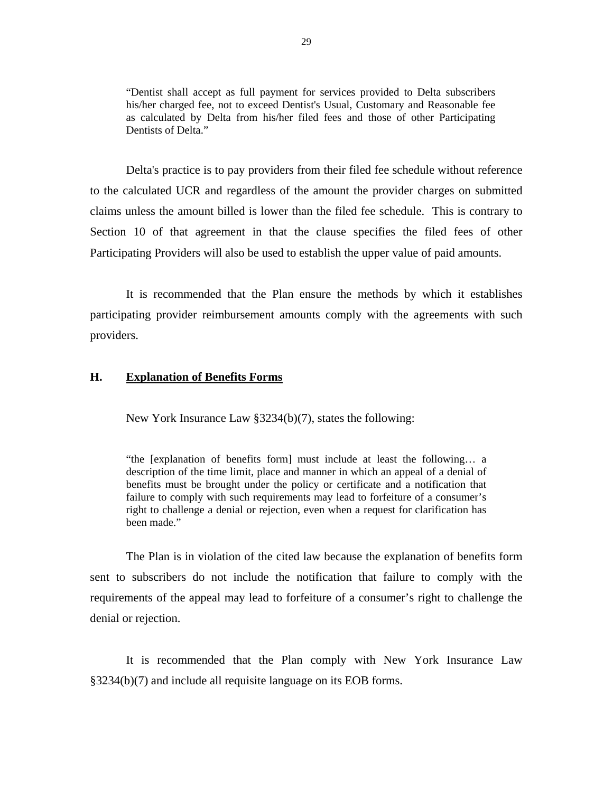<span id="page-30-0"></span>"Dentist shall accept as full payment for services provided to Delta subscribers his/her charged fee, not to exceed Dentist's Usual, Customary and Reasonable fee as calculated by Delta from his/her filed fees and those of other Participating Dentists of Delta."

Delta's practice is to pay providers from their filed fee schedule without reference to the calculated UCR and regardless of the amount the provider charges on submitted claims unless the amount billed is lower than the filed fee schedule. This is contrary to Section 10 of that agreement in that the clause specifies the filed fees of other Participating Providers will also be used to establish the upper value of paid amounts.

It is recommended that the Plan ensure the methods by which it establishes participating provider reimbursement amounts comply with the agreements with such providers.

#### **H. Explanation of Benefits Forms**

New York Insurance Law §3234(b)(7), states the following:

"the [explanation of benefits form] must include at least the following… a description of the time limit, place and manner in which an appeal of a denial of benefits must be brought under the policy or certificate and a notification that failure to comply with such requirements may lead to forfeiture of a consumer's right to challenge a denial or rejection, even when a request for clarification has been made."

The Plan is in violation of the cited law because the explanation of benefits form sent to subscribers do not include the notification that failure to comply with the requirements of the appeal may lead to forfeiture of a consumer's right to challenge the denial or rejection.

It is recommended that the Plan comply with New York Insurance Law §3234(b)(7) and include all requisite language on its EOB forms.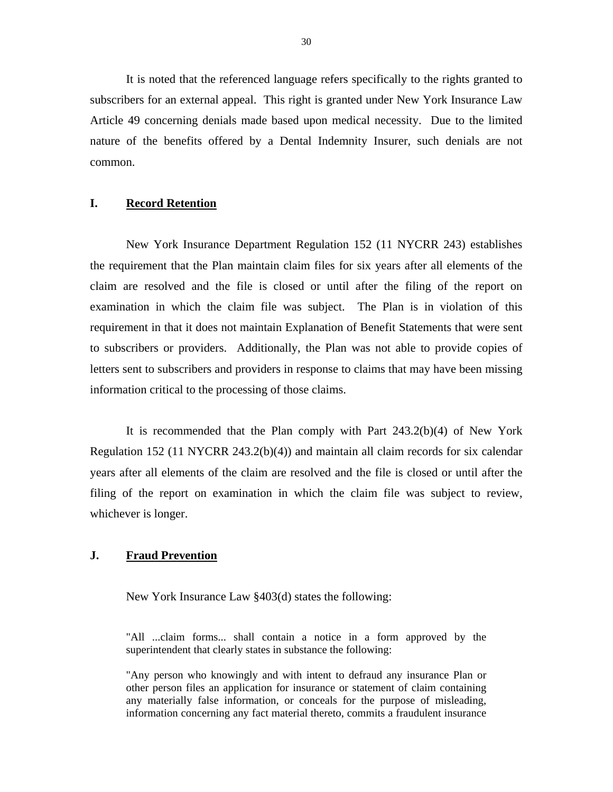<span id="page-31-0"></span>It is noted that the referenced language refers specifically to the rights granted to subscribers for an external appeal. This right is granted under New York Insurance Law Article 49 concerning denials made based upon medical necessity. Due to the limited nature of the benefits offered by a Dental Indemnity Insurer, such denials are not common.

#### **I. Record Retention**

New York Insurance Department Regulation 152 (11 NYCRR 243) establishes the requirement that the Plan maintain claim files for six years after all elements of the claim are resolved and the file is closed or until after the filing of the report on examination in which the claim file was subject. The Plan is in violation of this requirement in that it does not maintain Explanation of Benefit Statements that were sent to subscribers or providers. Additionally, the Plan was not able to provide copies of letters sent to subscribers and providers in response to claims that may have been missing information critical to the processing of those claims.

It is recommended that the Plan comply with Part  $243.2(b)(4)$  of New York Regulation 152 (11 NYCRR 243.2(b)(4)) and maintain all claim records for six calendar years after all elements of the claim are resolved and the file is closed or until after the filing of the report on examination in which the claim file was subject to review, whichever is longer.

## **J. Fraud Prevention**

New York Insurance Law §403(d) states the following:

"All ...claim forms... shall contain a notice in a form approved by the superintendent that clearly states in substance the following:

"Any person who knowingly and with intent to defraud any insurance Plan or other person files an application for insurance or statement of claim containing any materially false information, or conceals for the purpose of misleading, information concerning any fact material thereto, commits a fraudulent insurance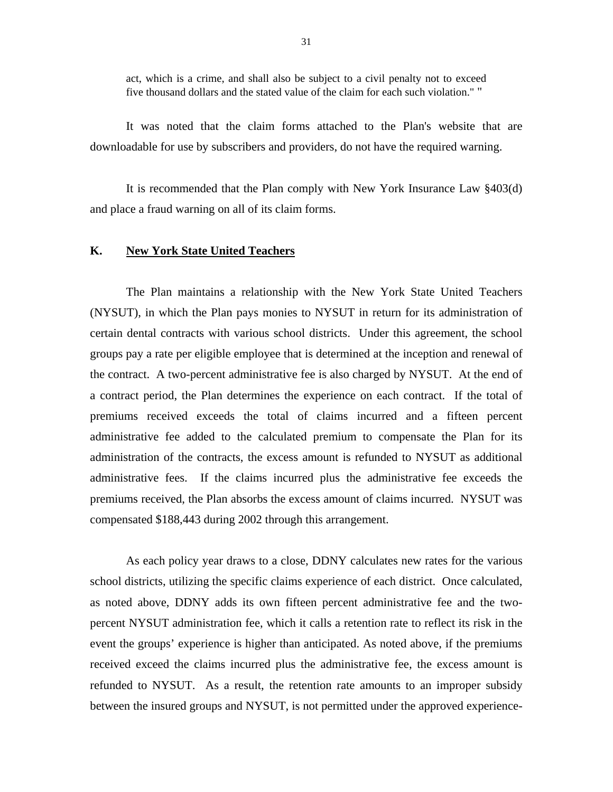<span id="page-32-0"></span>act, which is a crime, and shall also be subject to a civil penalty not to exceed five thousand dollars and the stated value of the claim for each such violation." "

It was noted that the claim forms attached to the Plan's website that are downloadable for use by subscribers and providers, do not have the required warning.

It is recommended that the Plan comply with New York Insurance Law §403(d) and place a fraud warning on all of its claim forms.

#### **K. New York State United Teachers**

The Plan maintains a relationship with the New York State United Teachers (NYSUT), in which the Plan pays monies to NYSUT in return for its administration of certain dental contracts with various school districts. Under this agreement, the school groups pay a rate per eligible employee that is determined at the inception and renewal of the contract. A two-percent administrative fee is also charged by NYSUT. At the end of a contract period, the Plan determines the experience on each contract. If the total of premiums received exceeds the total of claims incurred and a fifteen percent administrative fee added to the calculated premium to compensate the Plan for its administration of the contracts, the excess amount is refunded to NYSUT as additional administrative fees. If the claims incurred plus the administrative fee exceeds the premiums received, the Plan absorbs the excess amount of claims incurred. NYSUT was compensated \$188,443 during 2002 through this arrangement.

As each policy year draws to a close, DDNY calculates new rates for the various school districts, utilizing the specific claims experience of each district. Once calculated, as noted above, DDNY adds its own fifteen percent administrative fee and the twopercent NYSUT administration fee, which it calls a retention rate to reflect its risk in the event the groups' experience is higher than anticipated. As noted above, if the premiums received exceed the claims incurred plus the administrative fee, the excess amount is refunded to NYSUT. As a result, the retention rate amounts to an improper subsidy between the insured groups and NYSUT, is not permitted under the approved experience-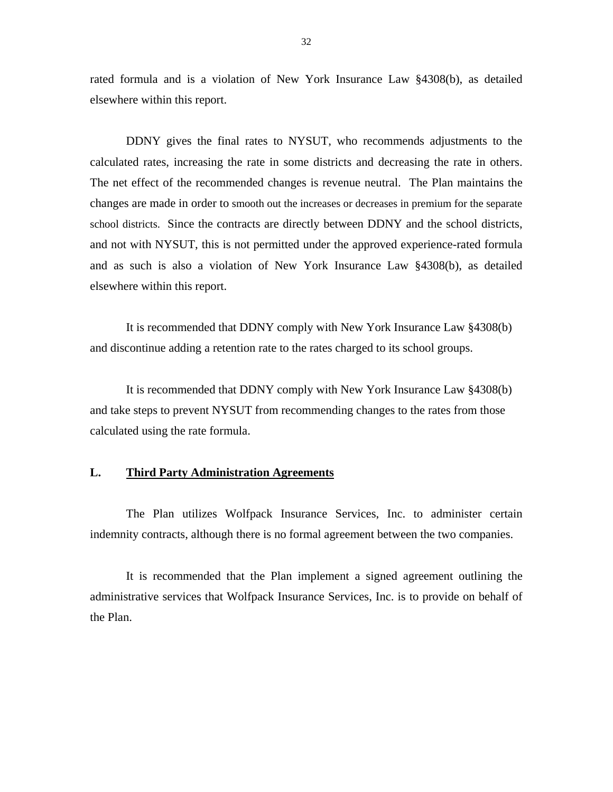<span id="page-33-0"></span>rated formula and is a violation of New York Insurance Law §4308(b), as detailed elsewhere within this report.

 calculated rates, increasing the rate in some districts and decreasing the rate in others. The net effect of the recommended changes is revenue neutral. The Plan maintains the DDNY gives the final rates to NYSUT, who recommends adjustments to the changes are made in order to smooth out the increases or decreases in premium for the separate school districts. Since the contracts are directly between DDNY and the school districts, and not with NYSUT, this is not permitted under the approved experience-rated formula and as such is also a violation of New York Insurance Law §4308(b), as detailed elsewhere within this report.

It is recommended that DDNY comply with New York Insurance Law §4308(b) and discontinue adding a retention rate to the rates charged to its school groups.

It is recommended that DDNY comply with New York Insurance Law §4308(b) and take steps to prevent NYSUT from recommending changes to the rates from those calculated using the rate formula.

## **L. Third Party Administration Agreements**

The Plan utilizes Wolfpack Insurance Services, Inc. to administer certain indemnity contracts, although there is no formal agreement between the two companies.

It is recommended that the Plan implement a signed agreement outlining the administrative services that Wolfpack Insurance Services, Inc. is to provide on behalf of the Plan.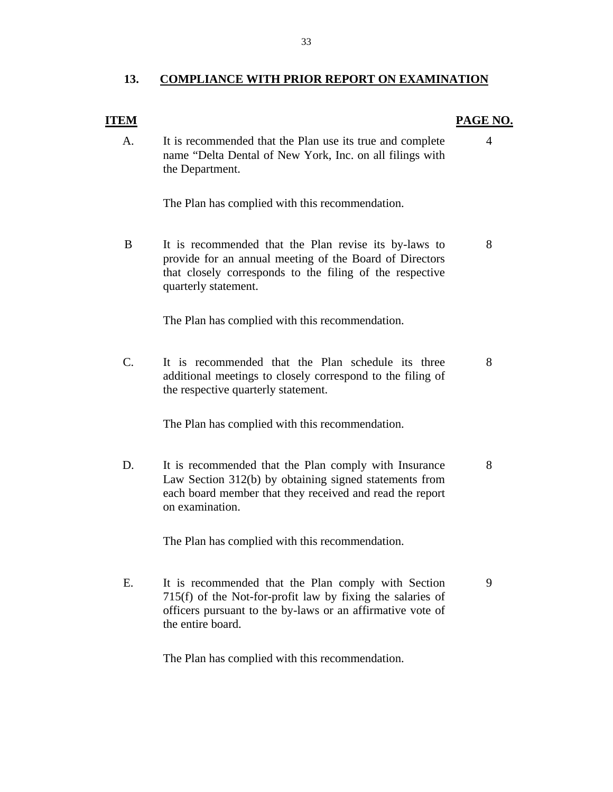#### 13. COMPLIANCE WITH PRIOR REPORT ON EXAMINATION

#### **ITEM**

#### **PAGE NO.**

A. It is recommended that the Plan use its true and complete 4 name "Delta Dental of New York, Inc. on all filings with the Department.

The Plan has complied with this recommendation.

B It is recommended that the Plan revise its by-laws to 8 provide for an annual meeting of the Board of Directors that closely corresponds to the filing of the respective quarterly statement.

The Plan has complied with this recommendation.

C. It is recommended that the Plan schedule its three 8 additional meetings to closely correspond to the filing of the respective quarterly statement.

The Plan has complied with this recommendation.

D. It is recommended that the Plan comply with Insurance 8 Law Section 312(b) by obtaining signed statements from each board member that they received and read the report on examination.

The Plan has complied with this recommendation.

E. It is recommended that the Plan comply with Section 9 715(f) of the Not-for-profit law by fixing the salaries of officers pursuant to the by-laws or an affirmative vote of the entire board.

The Plan has complied with this recommendation.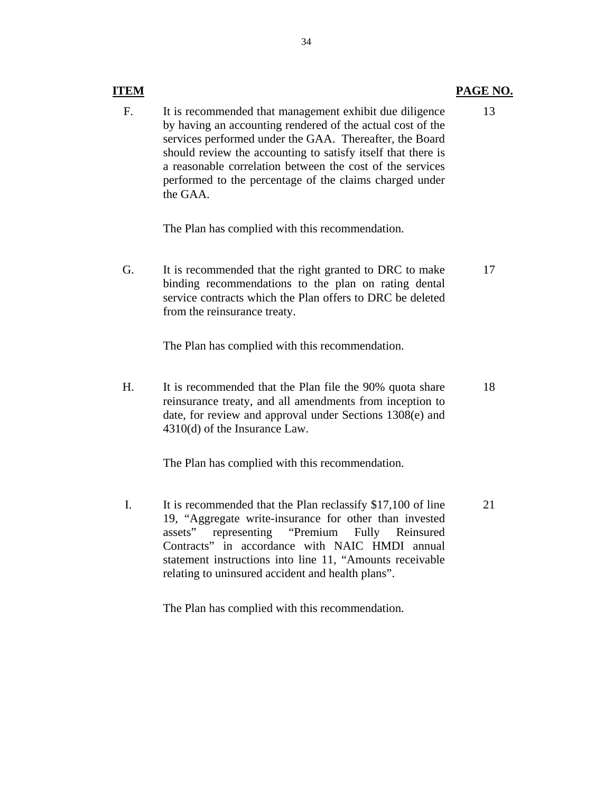# PAGE NO.

F. It is recommended that management exhibit due diligence by having an accounting rendered of the actual cost of the services performed under the GAA. Thereafter, the Board should review the accounting to satisfy itself that there is a reasonable correlation between the cost of the services performed to the percentage of the claims charged under the GAA. 13

The Plan has complied with this recommendation.

**ITEM** 

G. It is recommended that the right granted to DRC to make binding recommendations to the plan on rating dental service contracts which the Plan offers to DRC be deleted from the reinsurance treaty. 17

The Plan has complied with this recommendation.

H. It is recommended that the Plan file the 90% quota share reinsurance treaty, and all amendments from inception to date, for review and approval under Sections 1308(e) and 4310(d) of the Insurance Law. 18

The Plan has complied with this recommendation.

I. It is recommended that the Plan reclassify \$17,100 of line 19, "Aggregate write-insurance for other than invested assets" representing "Premium Fully Reinsured Contracts" in accordance with NAIC HMDI annual statement instructions into line 11, "Amounts receivable relating to uninsured accident and health plans". 21

The Plan has complied with this recommendation.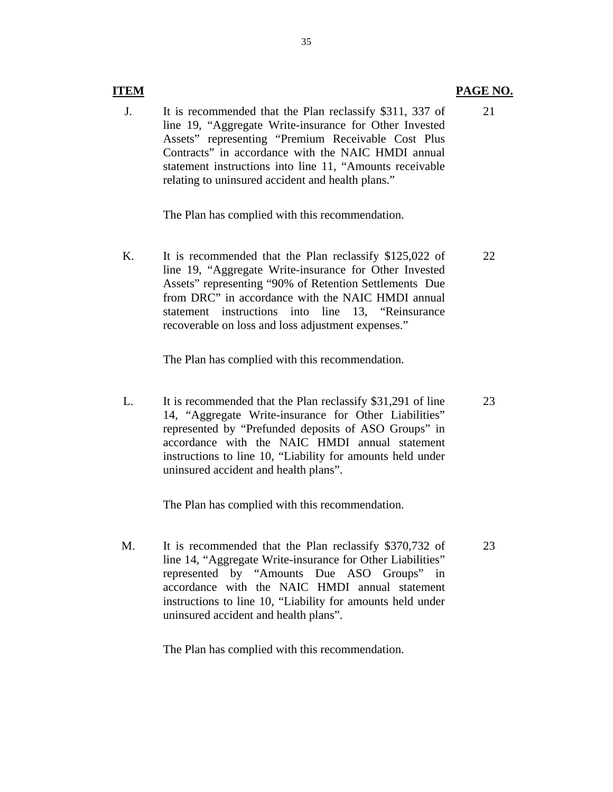#### **ITEM**

J. It is recommended that the Plan reclassify \$311, 337 of line 19, "Aggregate Write-insurance for Other Invested Assets" representing "Premium Receivable Cost Plus Contracts" in accordance with the NAIC HMDI annual statement instructions into line 11, "Amounts receivable relating to uninsured accident and health plans." 21

The Plan has complied with this recommendation.

K. It is recommended that the Plan reclassify \$125,022 of line 19, "Aggregate Write-insurance for Other Invested Assets" representing "90% of Retention Settlements Due from DRC" in accordance with the NAIC HMDI annual statement instructions into line 13, "Reinsurance recoverable on loss and loss adjustment expenses." 22

The Plan has complied with this recommendation.

L. It is recommended that the Plan reclassify \$31,291 of line 14, "Aggregate Write-insurance for Other Liabilities" represented by "Prefunded deposits of ASO Groups" in accordance with the NAIC HMDI annual statement instructions to line 10, "Liability for amounts held under uninsured accident and health plans". 23

The Plan has complied with this recommendation.

M. It is recommended that the Plan reclassify \$370,732 of line 14, "Aggregate Write-insurance for Other Liabilities" represented by "Amounts Due ASO Groups" in accordance with the NAIC HMDI annual statement instructions to line 10, "Liability for amounts held under uninsured accident and health plans".

The Plan has complied with this recommendation.

PAGE NO.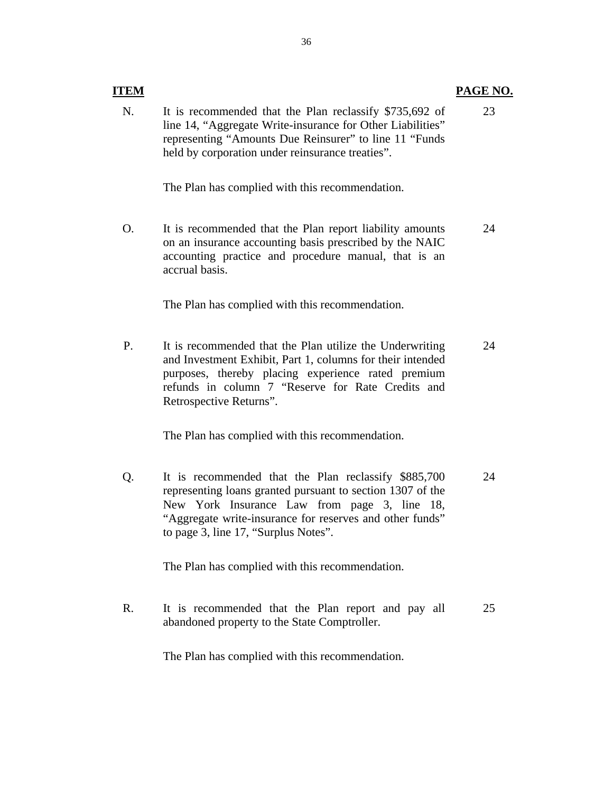| ITEM |                                                                                                                                                                                                                                                              | PAGE NO. |
|------|--------------------------------------------------------------------------------------------------------------------------------------------------------------------------------------------------------------------------------------------------------------|----------|
| N.   | It is recommended that the Plan reclassify \$735,692 of<br>line 14, "Aggregate Write-insurance for Other Liabilities"<br>representing "Amounts Due Reinsurer" to line 11 "Funds<br>held by corporation under reinsurance treaties".                          | 23       |
|      | The Plan has complied with this recommendation.                                                                                                                                                                                                              |          |
| Ο.   | It is recommended that the Plan report liability amounts<br>on an insurance accounting basis prescribed by the NAIC<br>accounting practice and procedure manual, that is an<br>accrual basis.                                                                | 24       |
|      | The Plan has complied with this recommendation.                                                                                                                                                                                                              |          |
| P.   | It is recommended that the Plan utilize the Underwriting<br>and Investment Exhibit, Part 1, columns for their intended<br>purposes, thereby placing experience rated premium<br>refunds in column 7 "Reserve for Rate Credits and<br>Retrospective Returns". | 24       |
|      | The Plan has complied with this recommendation.                                                                                                                                                                                                              |          |

Q. It is recommended that the Plan reclassify \$885,700 representing loans granted pursuant to section 1307 of the New York Insurance Law from page 3, line 18, "Aggregate write-insurance for reserves and other funds" to page 3, line 17, "Surplus Notes". 24

The Plan has complied with this recommendation.

R. It is recommended that the Plan report and pay all abandoned property to the State Comptroller. 25

The Plan has complied with this recommendation.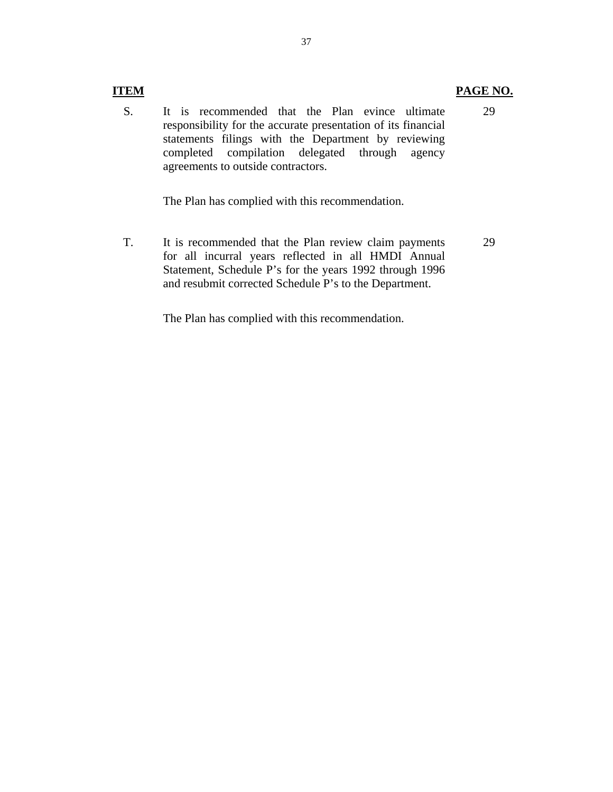# **ITEM**

S. It is recommended that the Plan evince ultimate responsibility for the accurate presentation of its financial statements filings with the Department by reviewing completed compilation delegated through agency agreements to outside contractors.

The Plan has complied with this recommendation.

T. It is recommended that the Plan review claim payments for all incurral years reflected in all HMDI Annual Statement, Schedule P's for the years 1992 through 1996 and resubmit corrected Schedule P's to the Department. 29

The Plan has complied with this recommendation.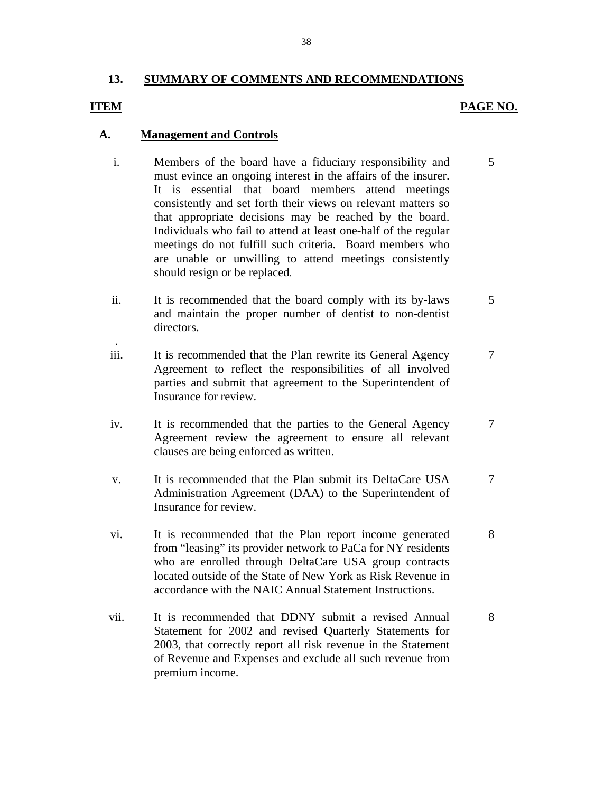## **13. SUMMARY OF COMMENTS AND RECOMMENDATIONS**

## **ITEM**

.

# **PAGE NO.**

## **A. Management and Controls**

- must evince an ongoing interest in the affairs of the insurer. i. Members of the board have a fiduciary responsibility and 5 It is essential that board members attend meetings consistently and set forth their views on relevant matters so that appropriate decisions may be reached by the board. Individuals who fail to attend at least one-half of the regular meetings do not fulfill such criteria. Board members who are unable or unwilling to attend meetings consistently should resign or be replaced.
- ii. It is recommended that the board comply with its by-laws 5 and maintain the proper number of dentist to non-dentist directors.
- iii. It is recommended that the Plan rewrite its General Agency 7 Agreement to reflect the responsibilities of all involved parties and submit that agreement to the Superintendent of Insurance for review.
- iv. It is recommended that the parties to the General Agency 7 Agreement review the agreement to ensure all relevant clauses are being enforced as written.
- v. It is recommended that the Plan submit its DeltaCare USA 7 Administration Agreement (DAA) to the Superintendent of Insurance for review.
- vi. It is recommended that the Plan report income generated 8 from "leasing" its provider network to PaCa for NY residents who are enrolled through DeltaCare USA group contracts located outside of the State of New York as Risk Revenue in accordance with the NAIC Annual Statement Instructions.
- vii. It is recommended that DDNY submit a revised Annual 8 Statement for 2002 and revised Quarterly Statements for 2003, that correctly report all risk revenue in the Statement of Revenue and Expenses and exclude all such revenue from premium income.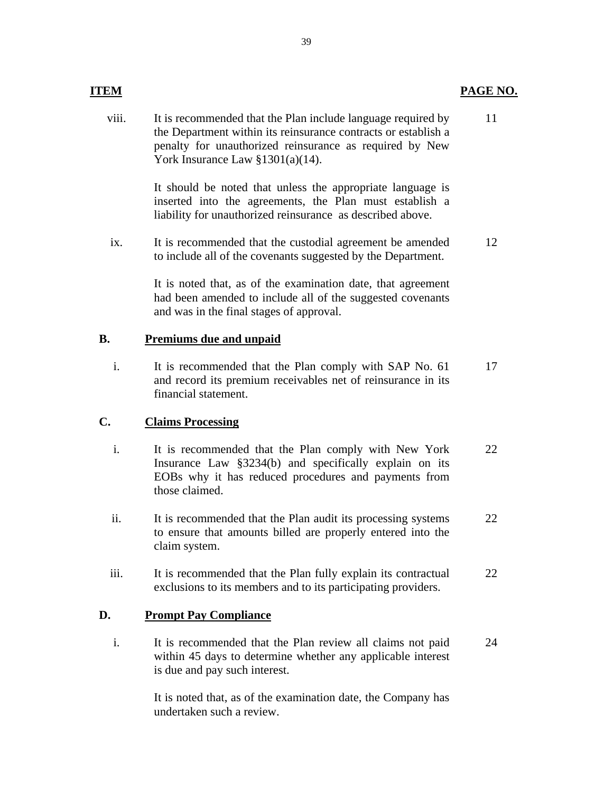| <b>ITEM</b> |                                                                                                                                                                                                                                    | <b>PAGE N</b> |
|-------------|------------------------------------------------------------------------------------------------------------------------------------------------------------------------------------------------------------------------------------|---------------|
| viii.       | It is recommended that the Plan include language required by<br>the Department within its reinsurance contracts or establish a<br>penalty for unauthorized reinsurance as required by New<br>York Insurance Law $\S 1301(a)(14)$ . | 11            |
|             | It should be noted that unless the appropriate language is<br>inserted into the agreements, the Plan must establish a<br>liability for unauthorized reinsurance as described above.                                                |               |
| ix.         | It is recommended that the custodial agreement be amended<br>to include all of the covenants suggested by the Department.                                                                                                          | 12            |
|             | It is noted that, as of the examination date, that agreement<br>had been amended to include all of the suggested covenants<br>and was in the final stages of approval.                                                             |               |
| <b>B.</b>   | <b>Premiums due and unpaid</b>                                                                                                                                                                                                     |               |
| i.          | It is recommended that the Plan comply with SAP No. 61<br>and record its premium receivables net of reinsurance in its<br>financial statement.                                                                                     | 17            |
| C.          | <b>Claims Processing</b>                                                                                                                                                                                                           |               |
| i.          | It is recommended that the Plan comply with New York<br>Insurance Law §3234(b) and specifically explain on its<br>EOBs why it has reduced procedures and payments from<br>those claimed.                                           | 22            |
| ii.         | It is recommended that the Plan audit its processing systems<br>to ensure that amounts billed are properly entered into the<br>claim system.                                                                                       | 22            |
| iii.        | It is recommended that the Plan fully explain its contractual<br>exclusions to its members and to its participating providers.                                                                                                     | 22            |
| D.          | <b>Prompt Pay Compliance</b>                                                                                                                                                                                                       |               |
| i.          | It is recommended that the Plan review all claims not paid<br>within 45 days to determine whether any applicable interest<br>is due and pay such interest.                                                                         | 24            |
|             | It is noted that, as of the examination date, the Company has<br>undertaken such a review.                                                                                                                                         |               |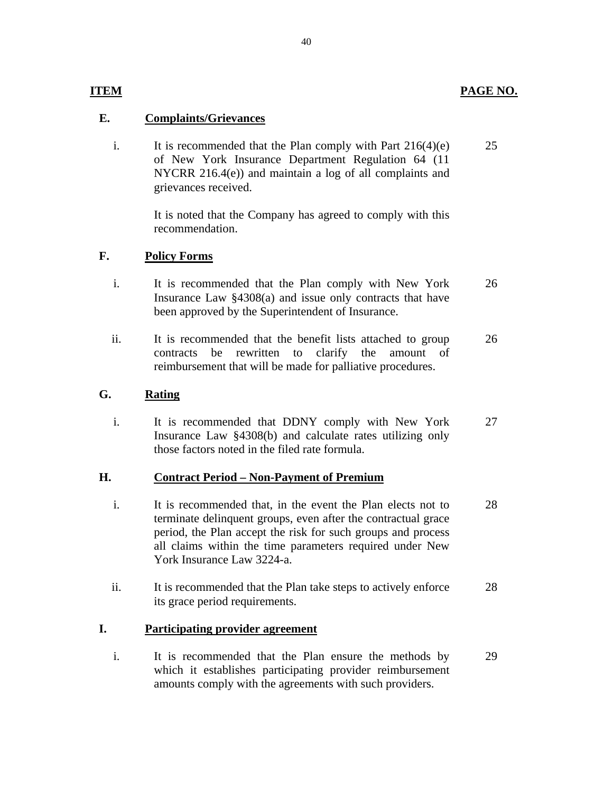# PAGE NO.

# **ITEM**

# **E. Complaints/Grievances**

i. It is recommended that the Plan comply with Part  $216(4)(e)$ of New York Insurance Department Regulation 64 (11 NYCRR 216.4(e)) and maintain a log of all complaints and grievances received. 25

> It is noted that the Company has agreed to comply with this recommendation.

## **F. Policy Forms**

- i. It is recommended that the Plan comply with New York Insurance Law §4308(a) and issue only contracts that have been approved by the Superintendent of Insurance. 26
- ii. It is recommended that the benefit lists attached to group contracts be rewritten to clarify the amount of reimbursement that will be made for palliative procedures. 26

# **G. Rating**

i. It is recommended that DDNY comply with New York Insurance Law §4308(b) and calculate rates utilizing only those factors noted in the filed rate formula. 27

# **H. Contract Period – Non-Payment of Premium**

- i. It is recommended that, in the event the Plan elects not to terminate delinquent groups, even after the contractual grace period, the Plan accept the risk for such groups and process all claims within the time parameters required under New York Insurance Law 3224-a. 28
- ii. It is recommended that the Plan take steps to actively enforce its grace period requirements. 28

# **I. Participating provider agreement**

i. It is recommended that the Plan ensure the methods by which it establishes participating provider reimbursement amounts comply with the agreements with such providers. 29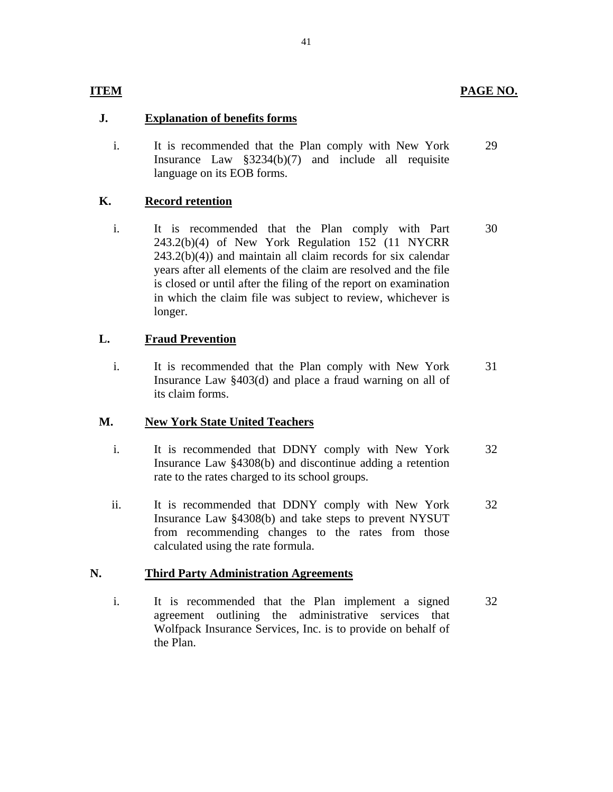# **ITEM**

# **J. Explanation of benefits forms**

i. It is recommended that the Plan comply with New York Insurance Law §3234(b)(7) and include all requisite language on its EOB forms. 29

# **K. Record retention**

i. It is recommended that the Plan comply with Part 243.2(b)(4) of New York Regulation 152 (11 NYCRR  $243.2(b)(4)$  and maintain all claim records for six calendar years after all elements of the claim are resolved and the file is closed or until after the filing of the report on examination in which the claim file was subject to review, whichever is longer. 30

# **L. Fraud Prevention**

i. It is recommended that the Plan comply with New York Insurance Law §403(d) and place a fraud warning on all of its claim forms. 31

# **M. New York State United Teachers**

- i. It is recommended that DDNY comply with New York Insurance Law §4308(b) and discontinue adding a retention rate to the rates charged to its school groups. 32
- ii. It is recommended that DDNY comply with New York Insurance Law §4308(b) and take steps to prevent NYSUT from recommending changes to the rates from those calculated using the rate formula. 32

# **N. Third Party Administration Agreements**

i. It is recommended that the Plan implement a signed agreement outlining the administrative services that Wolfpack Insurance Services, Inc. is to provide on behalf of the Plan. 32